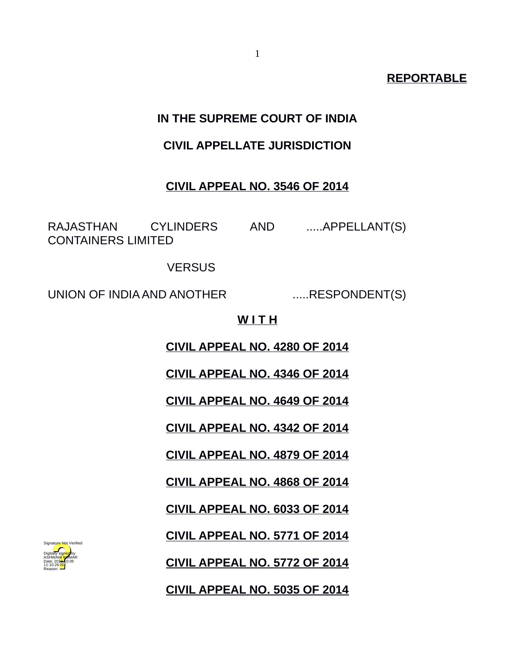### **REPORTABLE**

### **IN THE SUPREME COURT OF INDIA**

### **CIVIL APPELLATE JURISDICTION**

# **CIVIL APPEAL NO. 3546 OF 2014**

RAJASTHAN CYLINDERS AND .....APPELLANT(S) CONTAINERS LIMITED

**VERSUS** 

UNION OF INDIA AND ANOTHER ......RESPONDENT(S)

### **W I T H**

**CIVIL APPEAL NO. 4280 OF 2014**

**CIVIL APPEAL NO. 4346 OF 2014**

**CIVIL APPEAL NO. 4649 OF 2014**

**CIVIL APPEAL NO. 4342 OF 2014**

**CIVIL APPEAL NO. 4879 OF 2014**

**CIVIL APPEAL NO. 4868 OF 2014**

**CIVIL APPEAL NO. 6033 OF 2014**

**CIVIL APPEAL NO. 5771 OF 2014**



**CIVIL APPEAL NO. 5772 OF 2014**

**CIVIL APPEAL NO. 5035 OF 2014**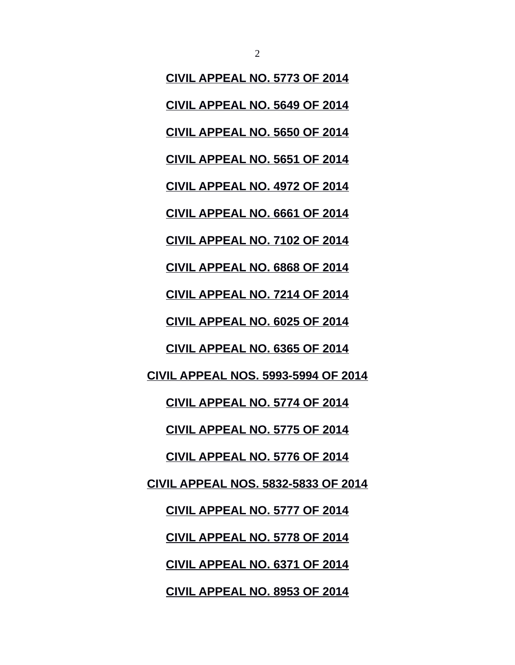**CIVIL APPEAL NO. 5773 OF 2014 CIVIL APPEAL NO. 5649 OF 2014 CIVIL APPEAL NO. 5650 OF 2014 CIVIL APPEAL NO. 5651 OF 2014 CIVIL APPEAL NO. 4972 OF 2014 CIVIL APPEAL NO. 6661 OF 2014 CIVIL APPEAL NO. 7102 OF 2014 CIVIL APPEAL NO. 6868 OF 2014 CIVIL APPEAL NO. 7214 OF 2014 CIVIL APPEAL NO. 6025 OF 2014 CIVIL APPEAL NO. 6365 OF 2014 CIVIL APPEAL NOS. 5993-5994 OF 2014 CIVIL APPEAL NO. 5774 OF 2014 CIVIL APPEAL NO. 5775 OF 2014 CIVIL APPEAL NO. 5776 OF 2014 CIVIL APPEAL NOS. 5832-5833 OF 2014 CIVIL APPEAL NO. 5777 OF 2014 CIVIL APPEAL NO. 5778 OF 2014 CIVIL APPEAL NO. 6371 OF 2014 CIVIL APPEAL NO. 8953 OF 2014**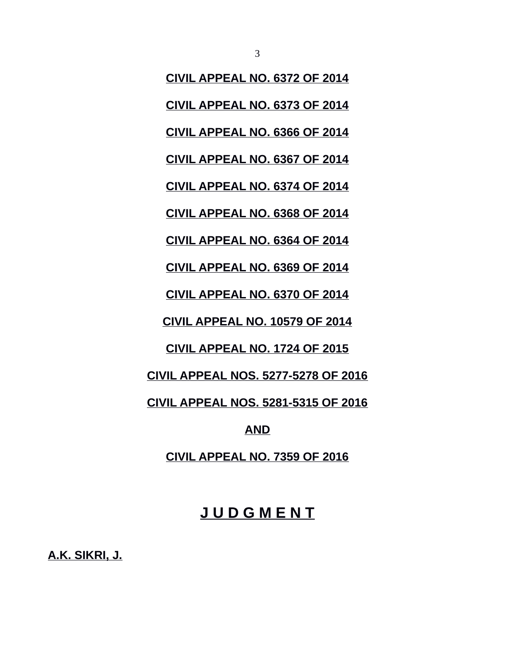**CIVIL APPEAL NO. 6372 OF 2014 CIVIL APPEAL NO. 6373 OF 2014 CIVIL APPEAL NO. 6366 OF 2014 CIVIL APPEAL NO. 6367 OF 2014 CIVIL APPEAL NO. 6374 OF 2014 CIVIL APPEAL NO. 6368 OF 2014 CIVIL APPEAL NO. 6364 OF 2014 CIVIL APPEAL NO. 6369 OF 2014 CIVIL APPEAL NO. 6370 OF 2014 CIVIL APPEAL NO. 10579 OF 2014 CIVIL APPEAL NO. 1724 OF 2015 CIVIL APPEAL NOS. 5277-5278 OF 2016 CIVIL APPEAL NOS. 5281-5315 OF 2016 AND**

**CIVIL APPEAL NO. 7359 OF 2016**

# **J U D G M E N T**

**A.K. SIKRI, J.**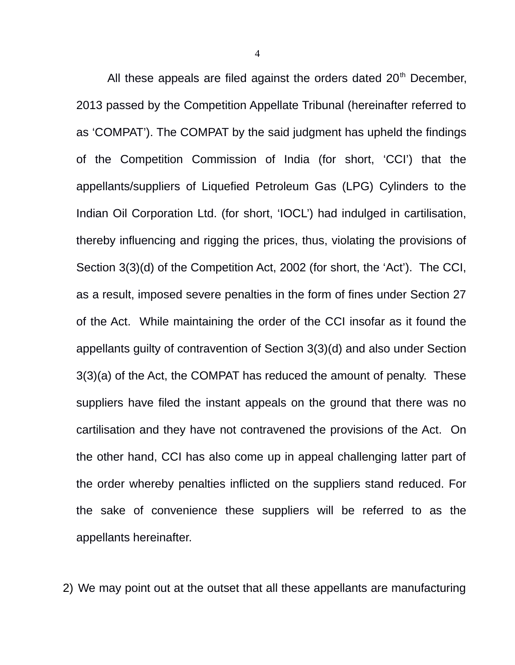All these appeals are filed against the orders dated  $20<sup>th</sup>$  December, 2013 passed by the Competition Appellate Tribunal (hereinafter referred to as 'COMPAT'). The COMPAT by the said judgment has upheld the findings of the Competition Commission of India (for short, 'CCI') that the appellants/suppliers of Liquefied Petroleum Gas (LPG) Cylinders to the Indian Oil Corporation Ltd. (for short, 'IOCL') had indulged in cartilisation, thereby influencing and rigging the prices, thus, violating the provisions of Section 3(3)(d) of the Competition Act, 2002 (for short, the 'Act'). The CCI, as a result, imposed severe penalties in the form of fines under Section 27 of the Act. While maintaining the order of the CCI insofar as it found the appellants guilty of contravention of Section 3(3)(d) and also under Section 3(3)(a) of the Act, the COMPAT has reduced the amount of penalty. These suppliers have filed the instant appeals on the ground that there was no cartilisation and they have not contravened the provisions of the Act. On the other hand, CCI has also come up in appeal challenging latter part of the order whereby penalties inflicted on the suppliers stand reduced. For the sake of convenience these suppliers will be referred to as the appellants hereinafter.

2) We may point out at the outset that all these appellants are manufacturing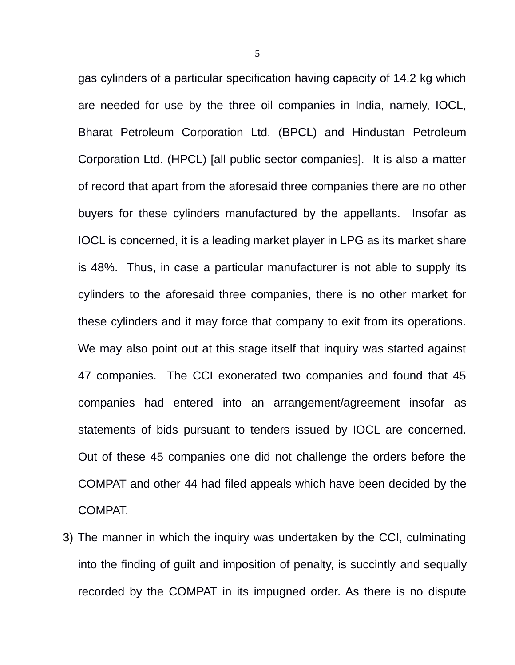gas cylinders of a particular specification having capacity of 14.2 kg which are needed for use by the three oil companies in India, namely, IOCL, Bharat Petroleum Corporation Ltd. (BPCL) and Hindustan Petroleum Corporation Ltd. (HPCL) [all public sector companies]. It is also a matter of record that apart from the aforesaid three companies there are no other buyers for these cylinders manufactured by the appellants. Insofar as IOCL is concerned, it is a leading market player in LPG as its market share is 48%. Thus, in case a particular manufacturer is not able to supply its cylinders to the aforesaid three companies, there is no other market for these cylinders and it may force that company to exit from its operations. We may also point out at this stage itself that inquiry was started against 47 companies. The CCI exonerated two companies and found that 45 companies had entered into an arrangement/agreement insofar as statements of bids pursuant to tenders issued by IOCL are concerned. Out of these 45 companies one did not challenge the orders before the COMPAT and other 44 had filed appeals which have been decided by the COMPAT.

3) The manner in which the inquiry was undertaken by the CCI, culminating into the finding of guilt and imposition of penalty, is succintly and sequally recorded by the COMPAT in its impugned order. As there is no dispute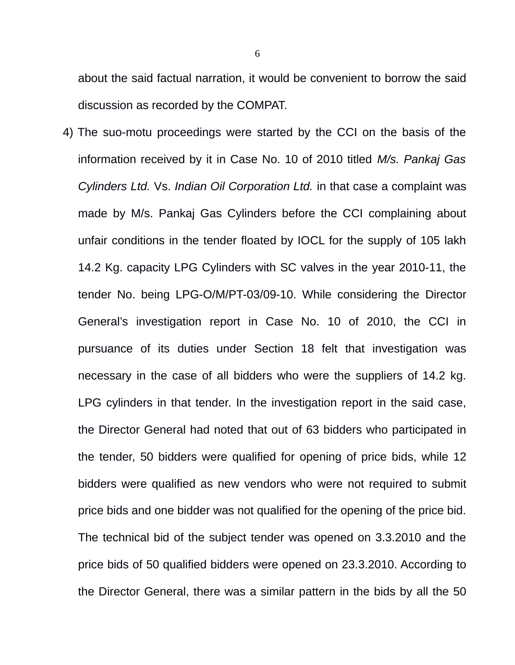about the said factual narration, it would be convenient to borrow the said discussion as recorded by the COMPAT.

4) The suo-motu proceedings were started by the CCI on the basis of the information received by it in Case No. 10 of 2010 titled *M/s. Pankaj Gas Cylinders Ltd.* Vs. *Indian Oil Corporation Ltd.* in that case a complaint was made by M/s. Pankaj Gas Cylinders before the CCI complaining about unfair conditions in the tender floated by IOCL for the supply of 105 lakh 14.2 Kg. capacity LPG Cylinders with SC valves in the year 2010-11, the tender No. being LPG-O/M/PT-03/09-10. While considering the Director General's investigation report in Case No. 10 of 2010, the CCI in pursuance of its duties under Section 18 felt that investigation was necessary in the case of all bidders who were the suppliers of 14.2 kg. LPG cylinders in that tender. In the investigation report in the said case, the Director General had noted that out of 63 bidders who participated in the tender, 50 bidders were qualified for opening of price bids, while 12 bidders were qualified as new vendors who were not required to submit price bids and one bidder was not qualified for the opening of the price bid. The technical bid of the subject tender was opened on 3.3.2010 and the price bids of 50 qualified bidders were opened on 23.3.2010. According to the Director General, there was a similar pattern in the bids by all the 50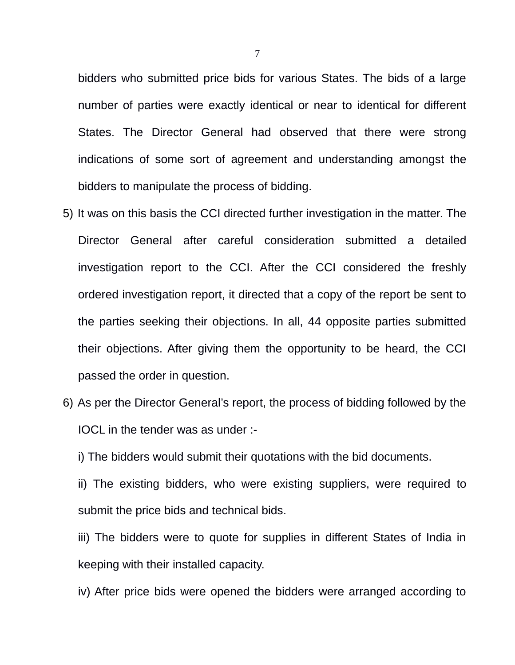bidders who submitted price bids for various States. The bids of a large number of parties were exactly identical or near to identical for different States. The Director General had observed that there were strong indications of some sort of agreement and understanding amongst the bidders to manipulate the process of bidding.

- 5) It was on this basis the CCI directed further investigation in the matter. The Director General after careful consideration submitted a detailed investigation report to the CCI. After the CCI considered the freshly ordered investigation report, it directed that a copy of the report be sent to the parties seeking their objections. In all, 44 opposite parties submitted their objections. After giving them the opportunity to be heard, the CCI passed the order in question.
- 6) As per the Director General's report, the process of bidding followed by the IOCL in the tender was as under :
	- i) The bidders would submit their quotations with the bid documents.
	- ii) The existing bidders, who were existing suppliers, were required to submit the price bids and technical bids.

iii) The bidders were to quote for supplies in different States of India in keeping with their installed capacity.

iv) After price bids were opened the bidders were arranged according to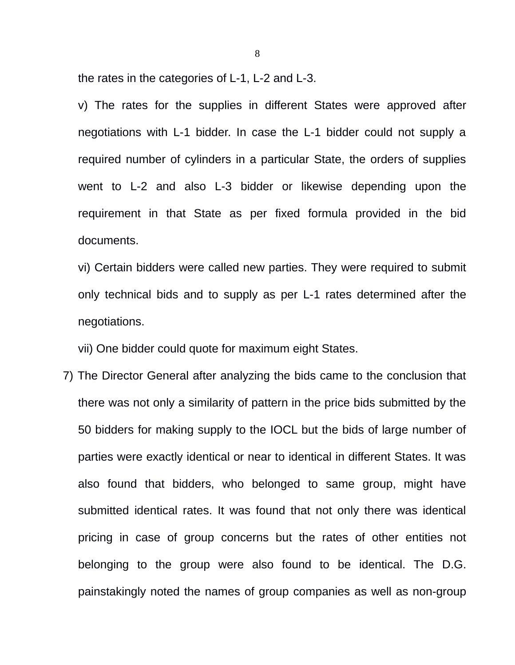the rates in the categories of L-1, L-2 and L-3.

v) The rates for the supplies in different States were approved after negotiations with L-1 bidder. In case the L-1 bidder could not supply a required number of cylinders in a particular State, the orders of supplies went to L-2 and also L-3 bidder or likewise depending upon the requirement in that State as per fixed formula provided in the bid documents.

vi) Certain bidders were called new parties. They were required to submit only technical bids and to supply as per L-1 rates determined after the negotiations.

vii) One bidder could quote for maximum eight States.

7) The Director General after analyzing the bids came to the conclusion that there was not only a similarity of pattern in the price bids submitted by the 50 bidders for making supply to the IOCL but the bids of large number of parties were exactly identical or near to identical in different States. It was also found that bidders, who belonged to same group, might have submitted identical rates. It was found that not only there was identical pricing in case of group concerns but the rates of other entities not belonging to the group were also found to be identical. The D.G. painstakingly noted the names of group companies as well as non-group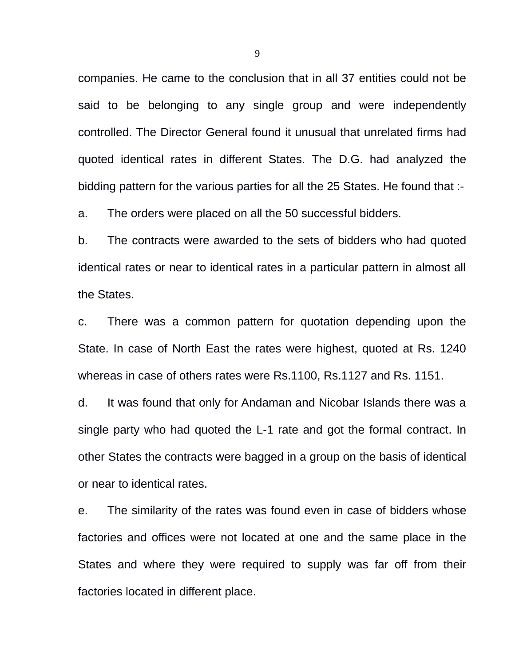companies. He came to the conclusion that in all 37 entities could not be said to be belonging to any single group and were independently controlled. The Director General found it unusual that unrelated firms had quoted identical rates in different States. The D.G. had analyzed the bidding pattern for the various parties for all the 25 States. He found that :-

a. The orders were placed on all the 50 successful bidders.

b. The contracts were awarded to the sets of bidders who had quoted identical rates or near to identical rates in a particular pattern in almost all the States.

c. There was a common pattern for quotation depending upon the State. In case of North East the rates were highest, quoted at Rs. 1240 whereas in case of others rates were Rs.1100, Rs.1127 and Rs. 1151.

d. It was found that only for Andaman and Nicobar Islands there was a single party who had quoted the L-1 rate and got the formal contract. In other States the contracts were bagged in a group on the basis of identical or near to identical rates.

e. The similarity of the rates was found even in case of bidders whose factories and offices were not located at one and the same place in the States and where they were required to supply was far off from their factories located in different place.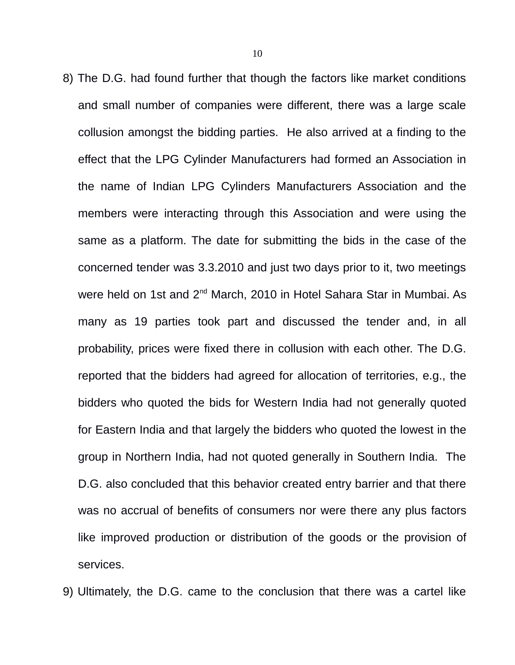8) The D.G. had found further that though the factors like market conditions and small number of companies were different, there was a large scale collusion amongst the bidding parties. He also arrived at a finding to the effect that the LPG Cylinder Manufacturers had formed an Association in the name of Indian LPG Cylinders Manufacturers Association and the members were interacting through this Association and were using the same as a platform. The date for submitting the bids in the case of the concerned tender was 3.3.2010 and just two days prior to it, two meetings were held on 1st and 2<sup>nd</sup> March, 2010 in Hotel Sahara Star in Mumbai. As many as 19 parties took part and discussed the tender and, in all probability, prices were fixed there in collusion with each other. The D.G. reported that the bidders had agreed for allocation of territories, e.g., the bidders who quoted the bids for Western India had not generally quoted for Eastern India and that largely the bidders who quoted the lowest in the group in Northern India, had not quoted generally in Southern India. The D.G. also concluded that this behavior created entry barrier and that there was no accrual of benefits of consumers nor were there any plus factors like improved production or distribution of the goods or the provision of services.

9) Ultimately, the D.G. came to the conclusion that there was a cartel like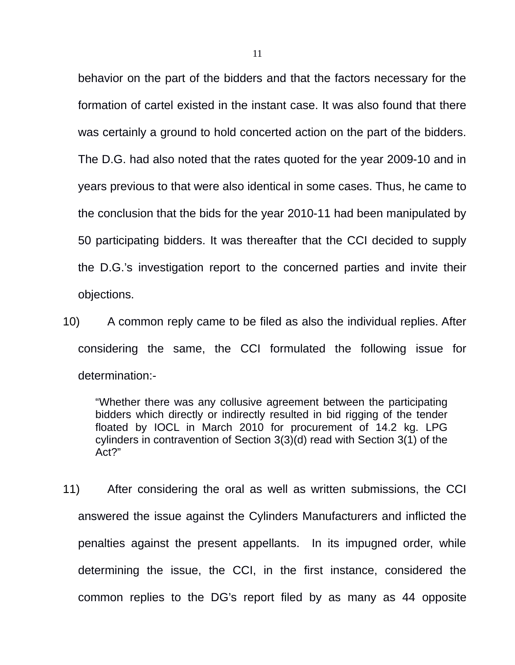behavior on the part of the bidders and that the factors necessary for the formation of cartel existed in the instant case. It was also found that there was certainly a ground to hold concerted action on the part of the bidders. The D.G. had also noted that the rates quoted for the year 2009-10 and in years previous to that were also identical in some cases. Thus, he came to the conclusion that the bids for the year 2010-11 had been manipulated by 50 participating bidders. It was thereafter that the CCI decided to supply the D.G.'s investigation report to the concerned parties and invite their objections.

10) A common reply came to be filed as also the individual replies. After considering the same, the CCI formulated the following issue for determination:-

"Whether there was any collusive agreement between the participating bidders which directly or indirectly resulted in bid rigging of the tender floated by IOCL in March 2010 for procurement of 14.2 kg. LPG cylinders in contravention of Section 3(3)(d) read with Section 3(1) of the Act?"

11) After considering the oral as well as written submissions, the CCI answered the issue against the Cylinders Manufacturers and inflicted the penalties against the present appellants. In its impugned order, while determining the issue, the CCI, in the first instance, considered the common replies to the DG's report filed by as many as 44 opposite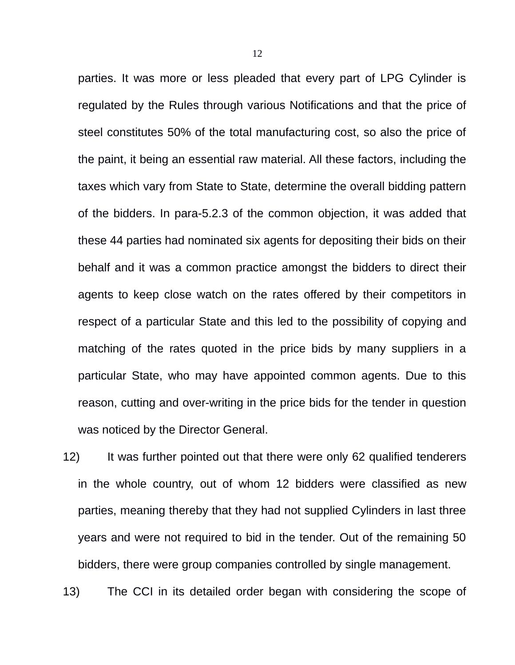parties. It was more or less pleaded that every part of LPG Cylinder is regulated by the Rules through various Notifications and that the price of steel constitutes 50% of the total manufacturing cost, so also the price of the paint, it being an essential raw material. All these factors, including the taxes which vary from State to State, determine the overall bidding pattern of the bidders. In para-5.2.3 of the common objection, it was added that these 44 parties had nominated six agents for depositing their bids on their behalf and it was a common practice amongst the bidders to direct their agents to keep close watch on the rates offered by their competitors in respect of a particular State and this led to the possibility of copying and matching of the rates quoted in the price bids by many suppliers in a particular State, who may have appointed common agents. Due to this reason, cutting and over-writing in the price bids for the tender in question was noticed by the Director General.

12) It was further pointed out that there were only 62 qualified tenderers in the whole country, out of whom 12 bidders were classified as new parties, meaning thereby that they had not supplied Cylinders in last three years and were not required to bid in the tender. Out of the remaining 50 bidders, there were group companies controlled by single management.

13) The CCI in its detailed order began with considering the scope of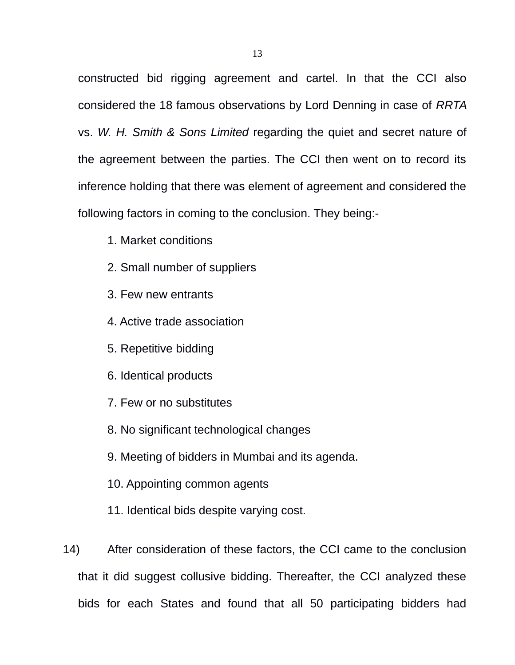constructed bid rigging agreement and cartel. In that the CCI also considered the 18 famous observations by Lord Denning in case of *RRTA* vs. *W. H. Smith & Sons Limited* regarding the quiet and secret nature of the agreement between the parties. The CCI then went on to record its inference holding that there was element of agreement and considered the following factors in coming to the conclusion. They being:-

- 1. Market conditions
- 2. Small number of suppliers
- 3. Few new entrants
- 4. Active trade association
- 5. Repetitive bidding
- 6. Identical products
- 7. Few or no substitutes
- 8. No significant technological changes
- 9. Meeting of bidders in Mumbai and its agenda.
- 10. Appointing common agents
- 11. Identical bids despite varying cost.
- 14) After consideration of these factors, the CCI came to the conclusion that it did suggest collusive bidding. Thereafter, the CCI analyzed these bids for each States and found that all 50 participating bidders had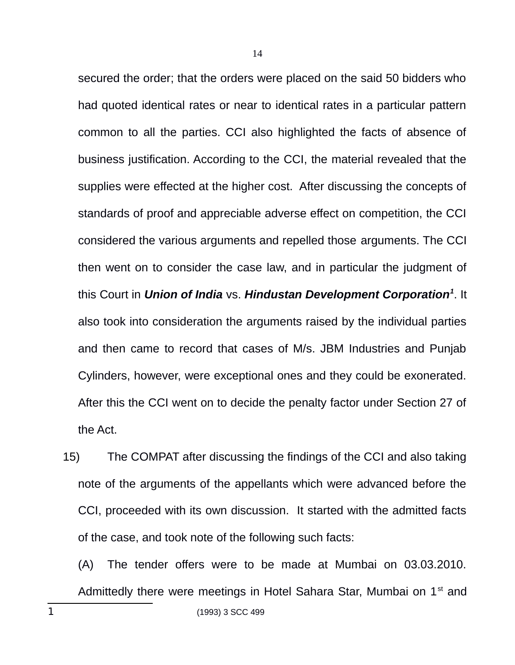secured the order; that the orders were placed on the said 50 bidders who had quoted identical rates or near to identical rates in a particular pattern common to all the parties. CCI also highlighted the facts of absence of business justification. According to the CCI, the material revealed that the supplies were effected at the higher cost. After discussing the concepts of standards of proof and appreciable adverse effect on competition, the CCI considered the various arguments and repelled those arguments. The CCI then went on to consider the case law, and in particular the judgment of this Court in *Union of India* vs. *Hindustan Development Corporation[1](#page-13-0)* . It also took into consideration the arguments raised by the individual parties and then came to record that cases of M/s. JBM Industries and Punjab Cylinders, however, were exceptional ones and they could be exonerated. After this the CCI went on to decide the penalty factor under Section 27 of the Act.

15) The COMPAT after discussing the findings of the CCI and also taking note of the arguments of the appellants which were advanced before the CCI, proceeded with its own discussion. It started with the admitted facts of the case, and took note of the following such facts:

<span id="page-13-0"></span>(A) The tender offers were to be made at Mumbai on 03.03.2010. Admittedly there were meetings in Hotel Sahara Star, Mumbai on  $1<sup>st</sup>$  and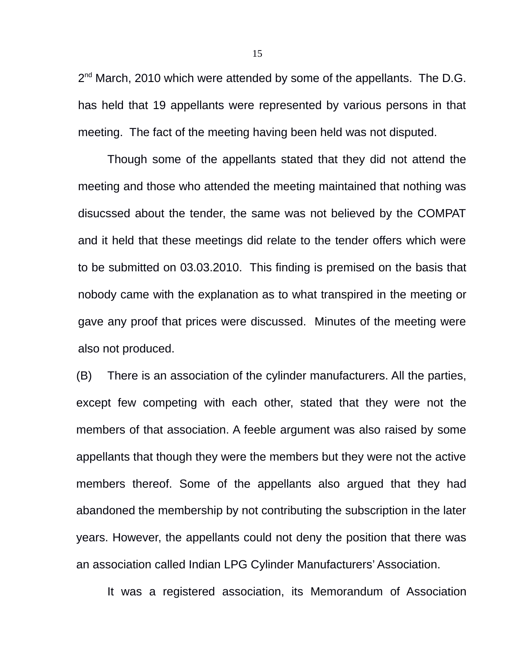2<sup>nd</sup> March, 2010 which were attended by some of the appellants. The D.G. has held that 19 appellants were represented by various persons in that meeting. The fact of the meeting having been held was not disputed.

Though some of the appellants stated that they did not attend the meeting and those who attended the meeting maintained that nothing was disucssed about the tender, the same was not believed by the COMPAT and it held that these meetings did relate to the tender offers which were to be submitted on 03.03.2010. This finding is premised on the basis that nobody came with the explanation as to what transpired in the meeting or gave any proof that prices were discussed. Minutes of the meeting were also not produced.

(B) There is an association of the cylinder manufacturers. All the parties, except few competing with each other, stated that they were not the members of that association. A feeble argument was also raised by some appellants that though they were the members but they were not the active members thereof. Some of the appellants also argued that they had abandoned the membership by not contributing the subscription in the later years. However, the appellants could not deny the position that there was an association called Indian LPG Cylinder Manufacturers' Association.

It was a registered association, its Memorandum of Association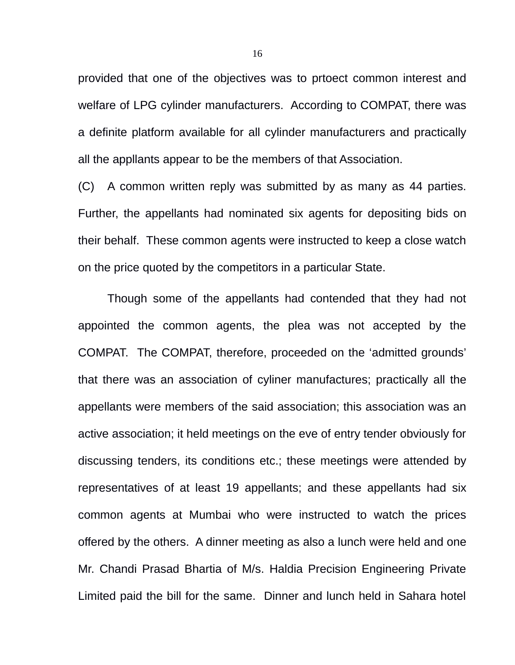provided that one of the objectives was to prtoect common interest and welfare of LPG cylinder manufacturers. According to COMPAT, there was a definite platform available for all cylinder manufacturers and practically all the appllants appear to be the members of that Association.

(C) A common written reply was submitted by as many as 44 parties. Further, the appellants had nominated six agents for depositing bids on their behalf. These common agents were instructed to keep a close watch on the price quoted by the competitors in a particular State.

Though some of the appellants had contended that they had not appointed the common agents, the plea was not accepted by the COMPAT. The COMPAT, therefore, proceeded on the 'admitted grounds' that there was an association of cyliner manufactures; practically all the appellants were members of the said association; this association was an active association; it held meetings on the eve of entry tender obviously for discussing tenders, its conditions etc.; these meetings were attended by representatives of at least 19 appellants; and these appellants had six common agents at Mumbai who were instructed to watch the prices offered by the others. A dinner meeting as also a lunch were held and one Mr. Chandi Prasad Bhartia of M/s. Haldia Precision Engineering Private Limited paid the bill for the same. Dinner and lunch held in Sahara hotel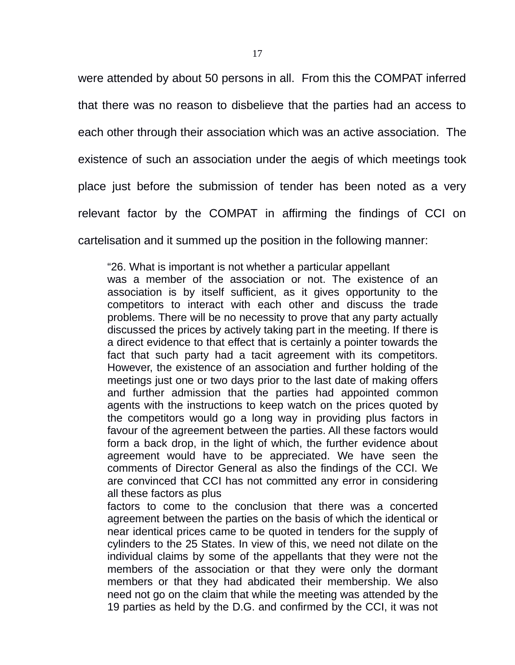were attended by about 50 persons in all. From this the COMPAT inferred that there was no reason to disbelieve that the parties had an access to each other through their association which was an active association. The existence of such an association under the aegis of which meetings took place just before the submission of tender has been noted as a very relevant factor by the COMPAT in affirming the findings of CCI on cartelisation and it summed up the position in the following manner:

"26. What is important is not whether a particular appellant was a member of the association or not. The existence of an association is by itself sufficient, as it gives opportunity to the competitors to interact with each other and discuss the trade problems. There will be no necessity to prove that any party actually discussed the prices by actively taking part in the meeting. If there is a direct evidence to that effect that is certainly a pointer towards the fact that such party had a tacit agreement with its competitors. However, the existence of an association and further holding of the meetings just one or two days prior to the last date of making offers and further admission that the parties had appointed common agents with the instructions to keep watch on the prices quoted by the competitors would go a long way in providing plus factors in favour of the agreement between the parties. All these factors would form a back drop, in the light of which, the further evidence about agreement would have to be appreciated. We have seen the comments of Director General as also the findings of the CCI. We are convinced that CCI has not committed any error in considering all these factors as plus

factors to come to the conclusion that there was a concerted agreement between the parties on the basis of which the identical or near identical prices came to be quoted in tenders for the supply of cylinders to the 25 States. In view of this, we need not dilate on the individual claims by some of the appellants that they were not the members of the association or that they were only the dormant members or that they had abdicated their membership. We also need not go on the claim that while the meeting was attended by the 19 parties as held by the D.G. and confirmed by the CCI, it was not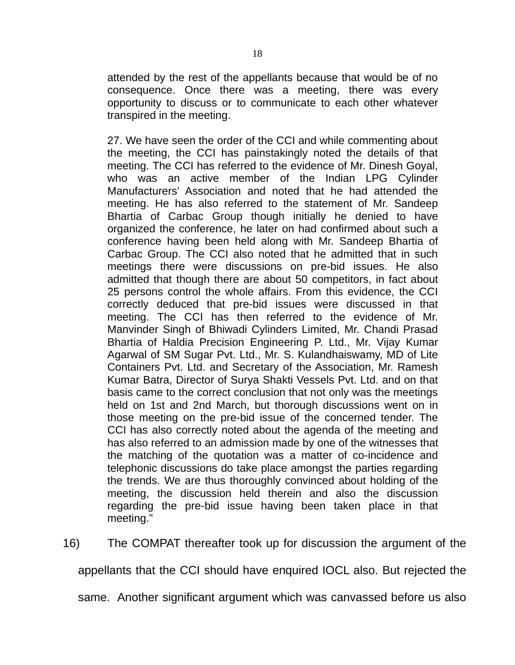attended by the rest of the appellants because that would be of no consequence. Once there was a meeting, there was every opportunity to discuss or to communicate to each other whatever transpired in the meeting.

27. We have seen the order of the CCI and while commenting about the meeting, the CCI has painstakingly noted the details of that meeting. The CCI has referred to the evidence of Mr. Dinesh Goyal, who was an active member of the Indian LPG Cylinder Manufacturers' Association and noted that he had attended the meeting. He has also referred to the statement of Mr. Sandeep Bhartia of Carbac Group though initially he denied to have organized the conference, he later on had confirmed about such a conference having been held along with Mr. Sandeep Bhartia of Carbac Group. The CCI also noted that he admitted that in such meetings there were discussions on pre-bid issues. He also admitted that though there are about 50 competitors, in fact about 25 persons control the whole affairs. From this evidence, the CCI correctly deduced that pre-bid issues were discussed in that meeting. The CCI has then referred to the evidence of Mr. Manvinder Singh of Bhiwadi Cylinders Limited, Mr. Chandi Prasad Bhartia of Haldia Precision Engineering P. Ltd., Mr. Vijay Kumar Agarwal of SM Sugar Pvt. Ltd., Mr. S. Kulandhaiswamy, MD of Lite Containers Pvt. Ltd. and Secretary of the Association, Mr. Ramesh Kumar Batra, Director of Surya Shakti Vessels Pvt. Ltd. and on that basis came to the correct conclusion that not only was the meetings held on 1st and 2nd March, but thorough discussions went on in those meeting on the pre-bid issue of the concerned tender. The CCI has also correctly noted about the agenda of the meeting and has also referred to an admission made by one of the witnesses that the matching of the quotation was a matter of co-incidence and telephonic discussions do take place amongst the parties regarding the trends. We are thus thoroughly convinced about holding of the meeting, the discussion held therein and also the discussion regarding the pre-bid issue having been taken place in that meeting."

16) The COMPAT thereafter took up for discussion the argument of the

appellants that the CCI should have enquired IOCL also. But rejected the

same. Another significant argument which was canvassed before us also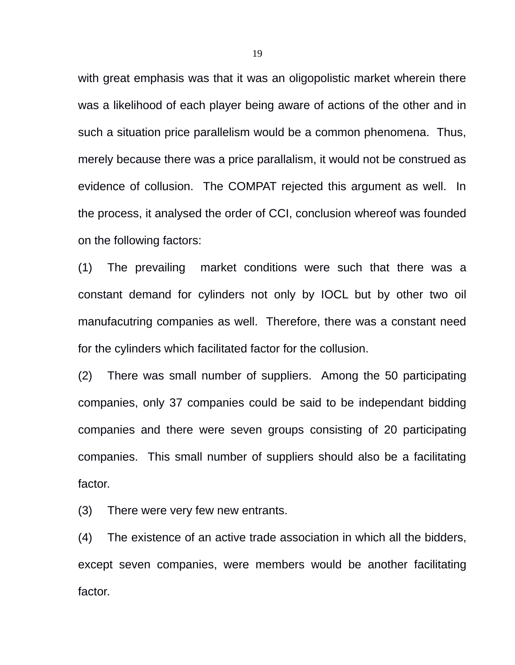with great emphasis was that it was an oligopolistic market wherein there was a likelihood of each player being aware of actions of the other and in such a situation price parallelism would be a common phenomena. Thus, merely because there was a price parallalism, it would not be construed as evidence of collusion. The COMPAT rejected this argument as well. In the process, it analysed the order of CCI, conclusion whereof was founded on the following factors:

(1) The prevailing market conditions were such that there was a constant demand for cylinders not only by IOCL but by other two oil manufacutring companies as well. Therefore, there was a constant need for the cylinders which facilitated factor for the collusion.

(2) There was small number of suppliers. Among the 50 participating companies, only 37 companies could be said to be independant bidding companies and there were seven groups consisting of 20 participating companies. This small number of suppliers should also be a facilitating factor.

(3) There were very few new entrants.

(4) The existence of an active trade association in which all the bidders, except seven companies, were members would be another facilitating factor.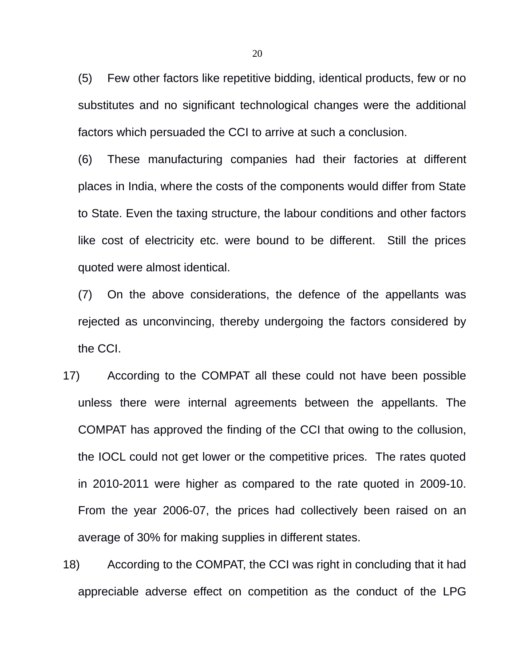(5) Few other factors like repetitive bidding, identical products, few or no substitutes and no significant technological changes were the additional factors which persuaded the CCI to arrive at such a conclusion.

(6) These manufacturing companies had their factories at different places in India, where the costs of the components would differ from State to State. Even the taxing structure, the labour conditions and other factors like cost of electricity etc. were bound to be different. Still the prices quoted were almost identical.

(7) On the above considerations, the defence of the appellants was rejected as unconvincing, thereby undergoing the factors considered by the CCI.

- 17) According to the COMPAT all these could not have been possible unless there were internal agreements between the appellants. The COMPAT has approved the finding of the CCI that owing to the collusion, the IOCL could not get lower or the competitive prices. The rates quoted in 2010-2011 were higher as compared to the rate quoted in 2009-10. From the year 2006-07, the prices had collectively been raised on an average of 30% for making supplies in different states.
- 18) According to the COMPAT, the CCI was right in concluding that it had appreciable adverse effect on competition as the conduct of the LPG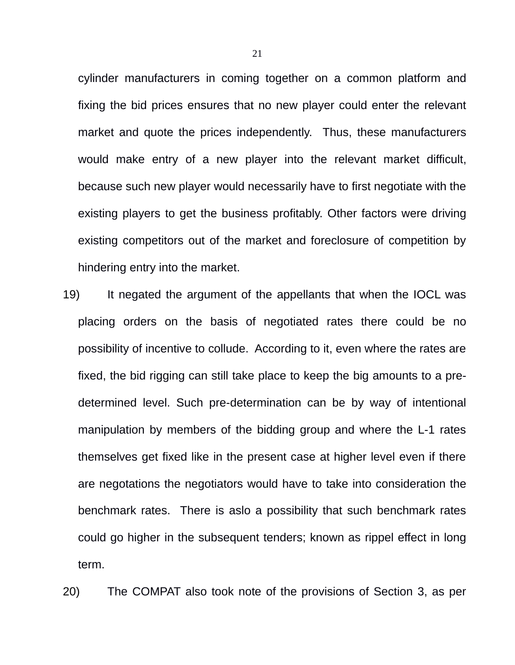cylinder manufacturers in coming together on a common platform and fixing the bid prices ensures that no new player could enter the relevant market and quote the prices independently. Thus, these manufacturers would make entry of a new player into the relevant market difficult, because such new player would necessarily have to first negotiate with the existing players to get the business profitably. Other factors were driving existing competitors out of the market and foreclosure of competition by hindering entry into the market.

19) It negated the argument of the appellants that when the IOCL was placing orders on the basis of negotiated rates there could be no possibility of incentive to collude. According to it, even where the rates are fixed, the bid rigging can still take place to keep the big amounts to a predetermined level. Such pre-determination can be by way of intentional manipulation by members of the bidding group and where the L-1 rates themselves get fixed like in the present case at higher level even if there are negotations the negotiators would have to take into consideration the benchmark rates. There is aslo a possibility that such benchmark rates could go higher in the subsequent tenders; known as rippel effect in long term.

20) The COMPAT also took note of the provisions of Section 3, as per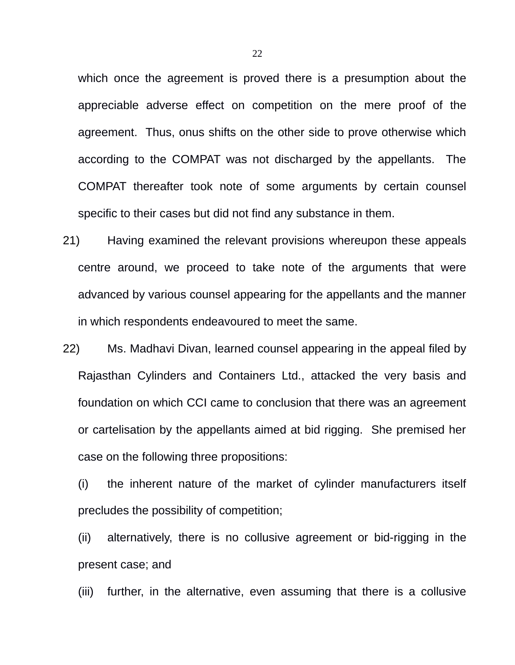which once the agreement is proved there is a presumption about the appreciable adverse effect on competition on the mere proof of the agreement. Thus, onus shifts on the other side to prove otherwise which according to the COMPAT was not discharged by the appellants. The COMPAT thereafter took note of some arguments by certain counsel specific to their cases but did not find any substance in them.

- 21) Having examined the relevant provisions whereupon these appeals centre around, we proceed to take note of the arguments that were advanced by various counsel appearing for the appellants and the manner in which respondents endeavoured to meet the same.
- 22) Ms. Madhavi Divan, learned counsel appearing in the appeal filed by Rajasthan Cylinders and Containers Ltd., attacked the very basis and foundation on which CCI came to conclusion that there was an agreement or cartelisation by the appellants aimed at bid rigging. She premised her case on the following three propositions:

(i) the inherent nature of the market of cylinder manufacturers itself precludes the possibility of competition;

(ii) alternatively, there is no collusive agreement or bid-rigging in the present case; and

(iii) further, in the alternative, even assuming that there is a collusive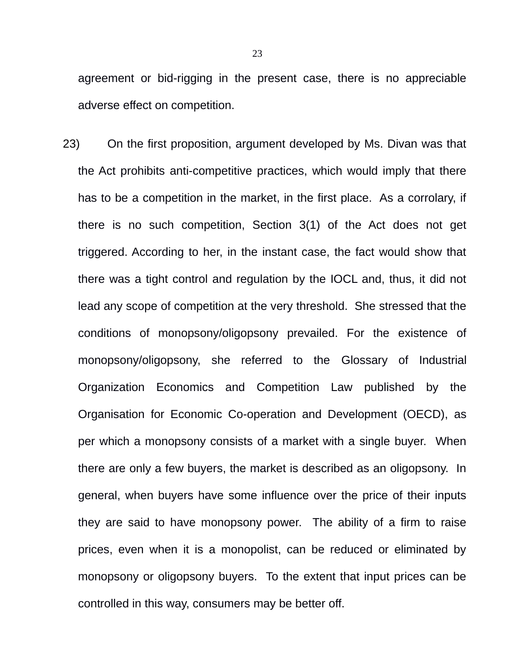agreement or bid-rigging in the present case, there is no appreciable adverse effect on competition.

23) On the first proposition, argument developed by Ms. Divan was that the Act prohibits anti-competitive practices, which would imply that there has to be a competition in the market, in the first place. As a corrolary, if there is no such competition, Section 3(1) of the Act does not get triggered. According to her, in the instant case, the fact would show that there was a tight control and regulation by the IOCL and, thus, it did not lead any scope of competition at the very threshold. She stressed that the conditions of monopsony/oligopsony prevailed. For the existence of monopsony/oligopsony, she referred to the Glossary of Industrial Organization Economics and Competition Law published by the Organisation for Economic Co-operation and Development (OECD), as per which a monopsony consists of a market with a single buyer. When there are only a few buyers, the market is described as an oligopsony. In general, when buyers have some influence over the price of their inputs they are said to have monopsony power. The ability of a firm to raise prices, even when it is a monopolist, can be reduced or eliminated by monopsony or oligopsony buyers. To the extent that input prices can be controlled in this way, consumers may be better off.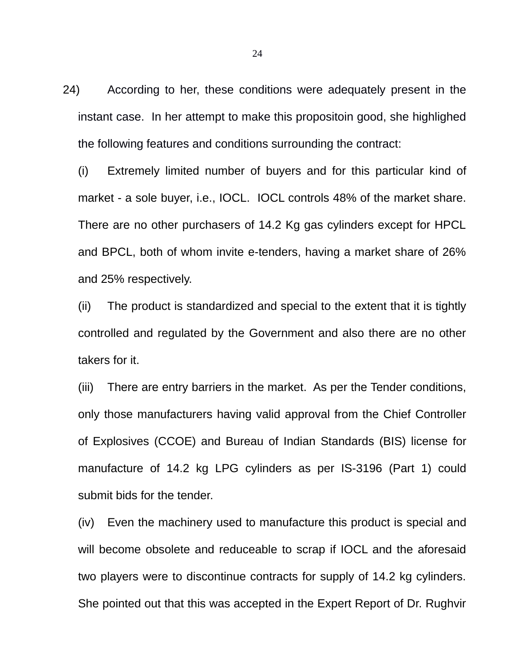24) According to her, these conditions were adequately present in the instant case. In her attempt to make this propositoin good, she highlighed the following features and conditions surrounding the contract:

(i) Extremely limited number of buyers and for this particular kind of market - a sole buyer, i.e., IOCL. IOCL controls 48% of the market share. There are no other purchasers of 14.2 Kg gas cylinders except for HPCL and BPCL, both of whom invite e-tenders, having a market share of 26% and 25% respectively.

(ii) The product is standardized and special to the extent that it is tightly controlled and regulated by the Government and also there are no other takers for it.

(iii) There are entry barriers in the market. As per the Tender conditions, only those manufacturers having valid approval from the Chief Controller of Explosives (CCOE) and Bureau of Indian Standards (BIS) license for manufacture of 14.2 kg LPG cylinders as per IS-3196 (Part 1) could submit bids for the tender.

(iv) Even the machinery used to manufacture this product is special and will become obsolete and reduceable to scrap if IOCL and the aforesaid two players were to discontinue contracts for supply of 14.2 kg cylinders. She pointed out that this was accepted in the Expert Report of Dr. Rughvir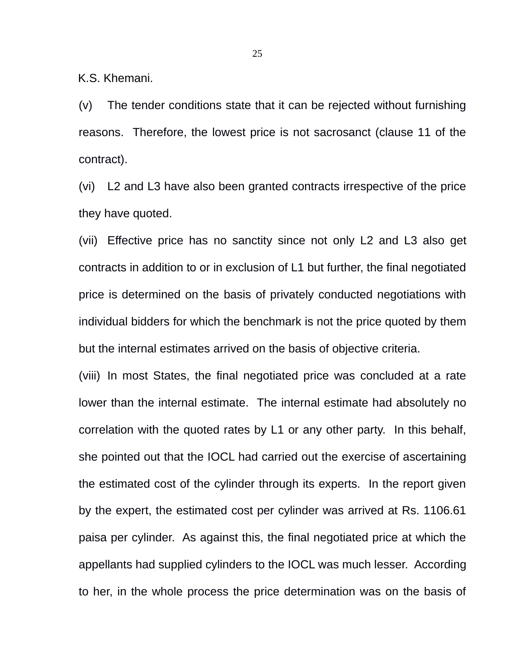K.S. Khemani.

(v) The tender conditions state that it can be rejected without furnishing reasons. Therefore, the lowest price is not sacrosanct (clause 11 of the contract).

(vi) L2 and L3 have also been granted contracts irrespective of the price they have quoted.

(vii) Effective price has no sanctity since not only L2 and L3 also get contracts in addition to or in exclusion of L1 but further, the final negotiated price is determined on the basis of privately conducted negotiations with individual bidders for which the benchmark is not the price quoted by them but the internal estimates arrived on the basis of objective criteria.

(viii) In most States, the final negotiated price was concluded at a rate lower than the internal estimate. The internal estimate had absolutely no correlation with the quoted rates by L1 or any other party. In this behalf, she pointed out that the IOCL had carried out the exercise of ascertaining the estimated cost of the cylinder through its experts. In the report given by the expert, the estimated cost per cylinder was arrived at Rs. 1106.61 paisa per cylinder. As against this, the final negotiated price at which the appellants had supplied cylinders to the IOCL was much lesser. According to her, in the whole process the price determination was on the basis of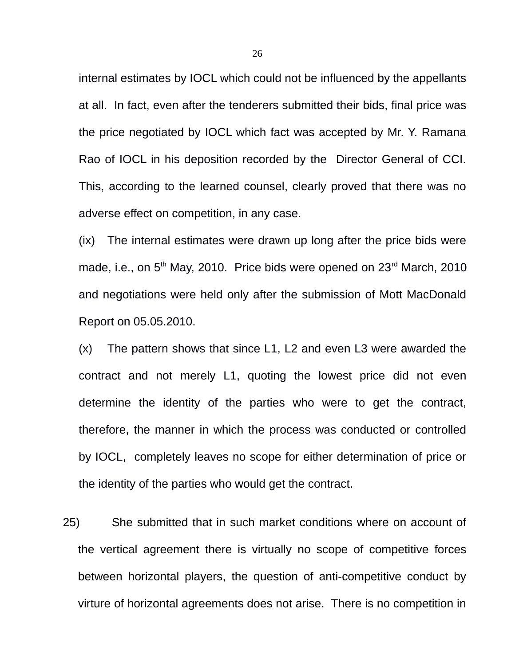internal estimates by IOCL which could not be influenced by the appellants at all. In fact, even after the tenderers submitted their bids, final price was the price negotiated by IOCL which fact was accepted by Mr. Y. Ramana Rao of IOCL in his deposition recorded by the Director General of CCI. This, according to the learned counsel, clearly proved that there was no adverse effect on competition, in any case.

(ix) The internal estimates were drawn up long after the price bids were made, i.e., on  $5<sup>th</sup>$  May, 2010. Price bids were opened on 23 $<sup>rd</sup>$  March, 2010</sup> and negotiations were held only after the submission of Mott MacDonald Report on 05.05.2010.

(x) The pattern shows that since L1, L2 and even L3 were awarded the contract and not merely L1, quoting the lowest price did not even determine the identity of the parties who were to get the contract, therefore, the manner in which the process was conducted or controlled by IOCL, completely leaves no scope for either determination of price or the identity of the parties who would get the contract.

25) She submitted that in such market conditions where on account of the vertical agreement there is virtually no scope of competitive forces between horizontal players, the question of anti-competitive conduct by virture of horizontal agreements does not arise. There is no competition in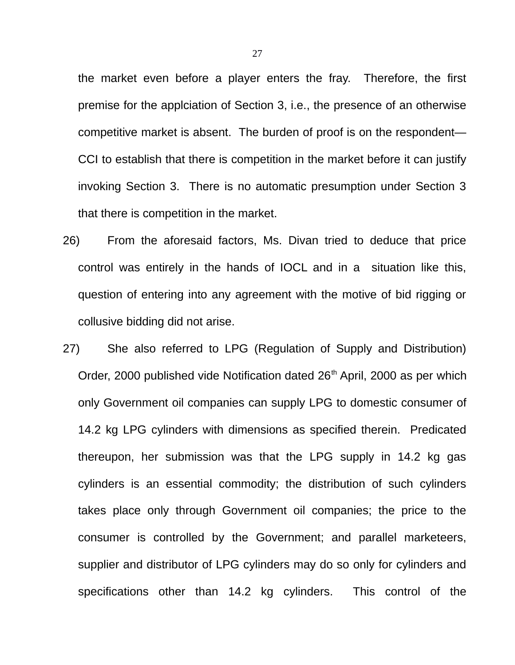the market even before a player enters the fray. Therefore, the first premise for the applciation of Section 3, i.e., the presence of an otherwise competitive market is absent. The burden of proof is on the respondent— CCI to establish that there is competition in the market before it can justify invoking Section 3. There is no automatic presumption under Section 3 that there is competition in the market.

- 26) From the aforesaid factors, Ms. Divan tried to deduce that price control was entirely in the hands of IOCL and in a situation like this, question of entering into any agreement with the motive of bid rigging or collusive bidding did not arise.
- 27) She also referred to LPG (Regulation of Supply and Distribution) Order, 2000 published vide Notification dated 26<sup>th</sup> April, 2000 as per which only Government oil companies can supply LPG to domestic consumer of 14.2 kg LPG cylinders with dimensions as specified therein. Predicated thereupon, her submission was that the LPG supply in 14.2 kg gas cylinders is an essential commodity; the distribution of such cylinders takes place only through Government oil companies; the price to the consumer is controlled by the Government; and parallel marketeers, supplier and distributor of LPG cylinders may do so only for cylinders and specifications other than 14.2 kg cylinders. This control of the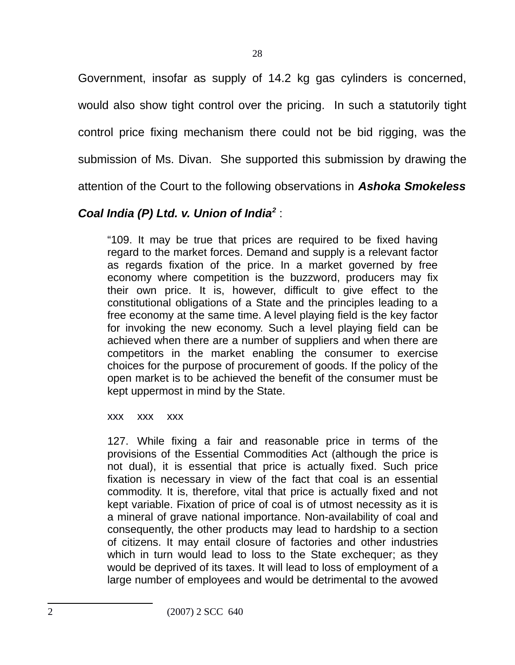Government, insofar as supply of 14.2 kg gas cylinders is concerned,

would also show tight control over the pricing. In such a statutorily tight

control price fixing mechanism there could not be bid rigging, was the

submission of Ms. Divan. She supported this submission by drawing the

attention of the Court to the following observations in *Ashoka Smokeless*

### *Coal India (P) Ltd. v. Union of India[2](#page-27-0)* :

"109. It may be true that prices are required to be fixed having regard to the market forces. Demand and supply is a relevant factor as regards fixation of the price. In a market governed by free economy where competition is the buzzword, producers may fix their own price. It is, however, difficult to give effect to the constitutional obligations of a State and the principles leading to a free economy at the same time. A level playing field is the key factor for invoking the new economy. Such a level playing field can be achieved when there are a number of suppliers and when there are competitors in the market enabling the consumer to exercise choices for the purpose of procurement of goods. If the policy of the open market is to be achieved the benefit of the consumer must be kept uppermost in mind by the State.

#### xxx xxx xxx

<span id="page-27-0"></span>127. While fixing a fair and reasonable price in terms of the provisions of the Essential Commodities Act (although the price is not dual), it is essential that price is actually fixed. Such price fixation is necessary in view of the fact that coal is an essential commodity. It is, therefore, vital that price is actually fixed and not kept variable. Fixation of price of coal is of utmost necessity as it is a mineral of grave national importance. Non-availability of coal and consequently, the other products may lead to hardship to a section of citizens. It may entail closure of factories and other industries which in turn would lead to loss to the State exchequer; as they would be deprived of its taxes. It will lead to loss of employment of a large number of employees and would be detrimental to the avowed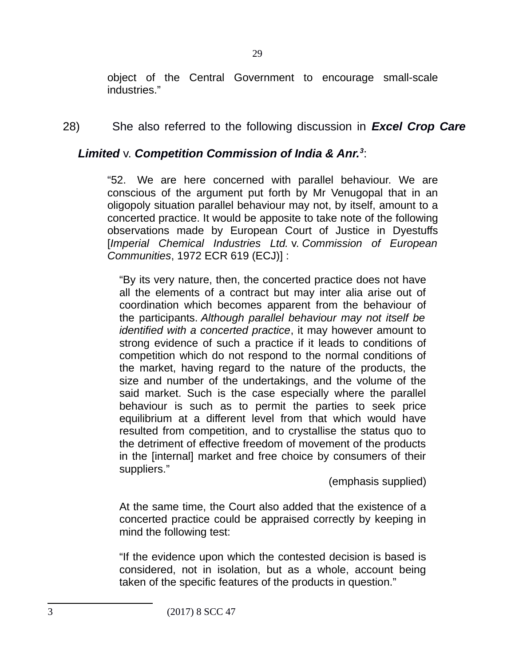object of the Central Government to encourage small-scale industries."

# 28) She also referred to the following discussion in *Excel Crop Care*

# *Limited* v. *Competition Commission of India & Anr.[3](#page-28-0)* :

"52. We are here concerned with parallel behaviour. We are conscious of the argument put forth by Mr Venugopal that in an oligopoly situation parallel behaviour may not, by itself, amount to a concerted practice. It would be apposite to take note of the following observations made by European Court of Justice in Dyestuffs [*Imperial Chemical Industries Ltd.* v. *Commission of European Communities*, 1972 ECR 619 (ECJ)] :

"By its very nature, then, the concerted practice does not have all the elements of a contract but may inter alia arise out of coordination which becomes apparent from the behaviour of the participants. *Although parallel behaviour may not itself be identified with a concerted practice*, it may however amount to strong evidence of such a practice if it leads to conditions of competition which do not respond to the normal conditions of the market, having regard to the nature of the products, the size and number of the undertakings, and the volume of the said market. Such is the case especially where the parallel behaviour is such as to permit the parties to seek price equilibrium at a different level from that which would have resulted from competition, and to crystallise the status quo to the detriment of effective freedom of movement of the products in the [internal] market and free choice by consumers of their suppliers."

(emphasis supplied)

At the same time, the Court also added that the existence of a concerted practice could be appraised correctly by keeping in mind the following test:

<span id="page-28-0"></span>"If the evidence upon which the contested decision is based is considered, not in isolation, but as a whole, account being taken of the specific features of the products in question."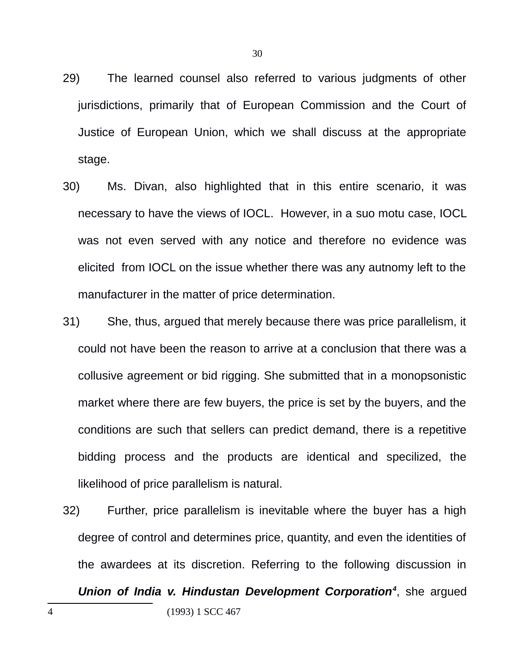- 29) The learned counsel also referred to various judgments of other jurisdictions, primarily that of European Commission and the Court of Justice of European Union, which we shall discuss at the appropriate stage.
- 30) Ms. Divan, also highlighted that in this entire scenario, it was necessary to have the views of IOCL. However, in a suo motu case, IOCL was not even served with any notice and therefore no evidence was elicited from IOCL on the issue whether there was any autnomy left to the manufacturer in the matter of price determination.
- 31) She, thus, argued that merely because there was price parallelism, it could not have been the reason to arrive at a conclusion that there was a collusive agreement or bid rigging. She submitted that in a monopsonistic market where there are few buyers, the price is set by the buyers, and the conditions are such that sellers can predict demand, there is a repetitive bidding process and the products are identical and specilized, the likelihood of price parallelism is natural.
- <span id="page-29-0"></span>32) Further, price parallelism is inevitable where the buyer has a high degree of control and determines price, quantity, and even the identities of the awardees at its discretion. Referring to the following discussion in *Union of India v. Hindustan Development Corporation[4](#page-29-0)* , she argued 4 (1993) 1 SCC 467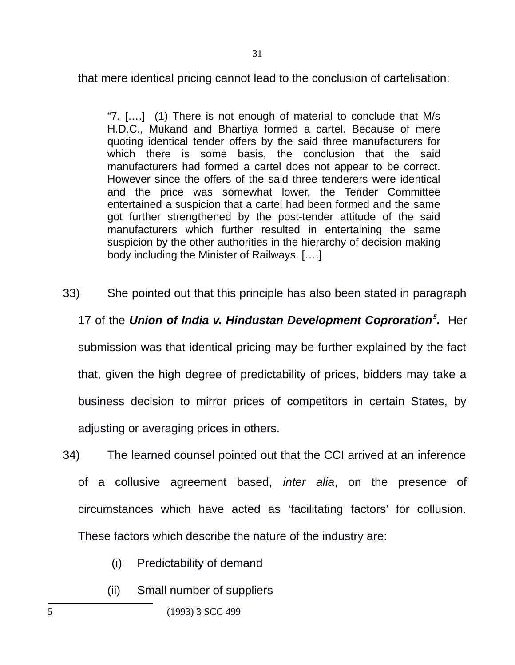that mere identical pricing cannot lead to the conclusion of cartelisation:

"7. [….] (1) There is not enough of material to conclude that M/s H.D.C., Mukand and Bhartiya formed a cartel. Because of mere quoting identical tender offers by the said three manufacturers for which there is some basis, the conclusion that the said manufacturers had formed a cartel does not appear to be correct. However since the offers of the said three tenderers were identical and the price was somewhat lower, the Tender Committee entertained a suspicion that a cartel had been formed and the same got further strengthened by the post-tender attitude of the said manufacturers which further resulted in entertaining the same suspicion by the other authorities in the hierarchy of decision making body including the Minister of Railways. [….]

33) She pointed out that this principle has also been stated in paragraph

17 of the *Union of India v. Hindustan Development Coproration[5](#page-30-0) .* Her

submission was that identical pricing may be further explained by the fact that, given the high degree of predictability of prices, bidders may take a business decision to mirror prices of competitors in certain States, by adjusting or averaging prices in others.

- 34) The learned counsel pointed out that the CCI arrived at an inference of a collusive agreement based, *inter alia*, on the presence of circumstances which have acted as 'facilitating factors' for collusion. These factors which describe the nature of the industry are:
	- (i) Predictability of demand
	- (ii) Small number of suppliers

<span id="page-30-0"></span>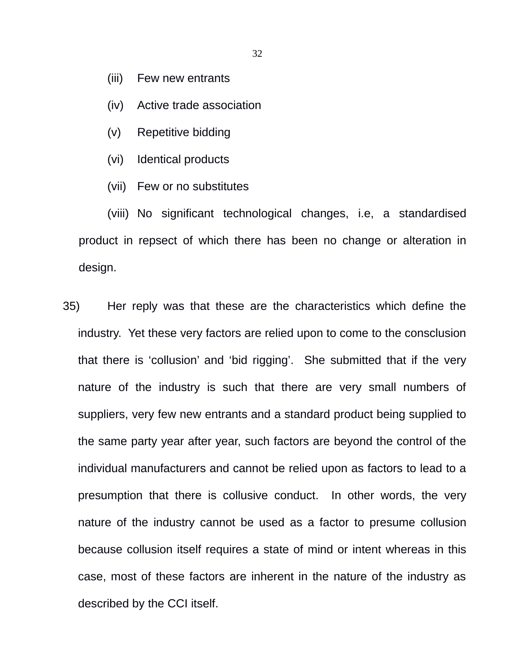(iii) Few new entrants

(iv) Active trade association

- (v) Repetitive bidding
- (vi) Identical products
- (vii) Few or no substitutes

(viii) No significant technological changes, i.e, a standardised product in repsect of which there has been no change or alteration in design.

35) Her reply was that these are the characteristics which define the industry. Yet these very factors are relied upon to come to the consclusion that there is 'collusion' and 'bid rigging'. She submitted that if the very nature of the industry is such that there are very small numbers of suppliers, very few new entrants and a standard product being supplied to the same party year after year, such factors are beyond the control of the individual manufacturers and cannot be relied upon as factors to lead to a presumption that there is collusive conduct. In other words, the very nature of the industry cannot be used as a factor to presume collusion because collusion itself requires a state of mind or intent whereas in this case, most of these factors are inherent in the nature of the industry as described by the CCI itself.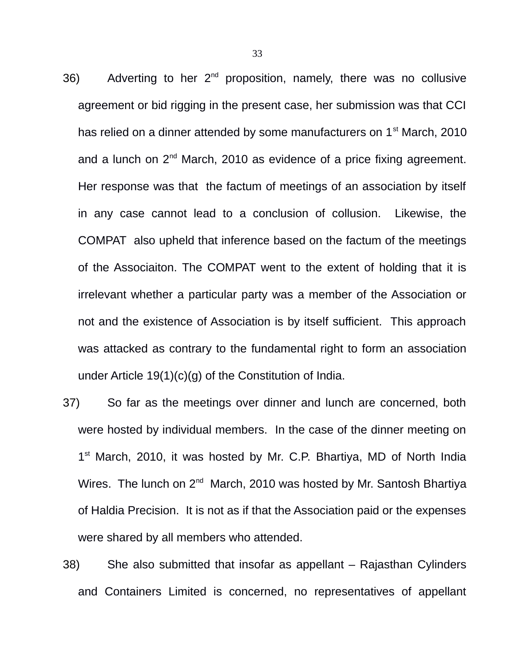- 36) Adverting to her  $2^{nd}$  proposition, namely, there was no collusive agreement or bid rigging in the present case, her submission was that CCI has relied on a dinner attended by some manufacturers on  $1<sup>st</sup>$  March, 2010 and a lunch on  $2<sup>nd</sup>$  March, 2010 as evidence of a price fixing agreement. Her response was that the factum of meetings of an association by itself in any case cannot lead to a conclusion of collusion. Likewise, the COMPAT also upheld that inference based on the factum of the meetings of the Associaiton. The COMPAT went to the extent of holding that it is irrelevant whether a particular party was a member of the Association or not and the existence of Association is by itself sufficient. This approach was attacked as contrary to the fundamental right to form an association under Article 19(1)(c)(g) of the Constitution of India.
- 37) So far as the meetings over dinner and lunch are concerned, both were hosted by individual members. In the case of the dinner meeting on 1<sup>st</sup> March, 2010, it was hosted by Mr. C.P. Bhartiya, MD of North India Wires. The lunch on 2<sup>nd</sup> March, 2010 was hosted by Mr. Santosh Bhartiya of Haldia Precision. It is not as if that the Association paid or the expenses were shared by all members who attended.
- 38) She also submitted that insofar as appellant Rajasthan Cylinders and Containers Limited is concerned, no representatives of appellant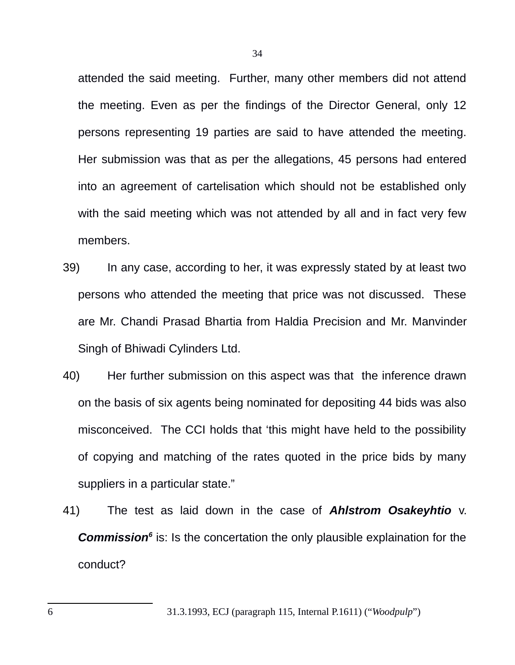attended the said meeting. Further, many other members did not attend the meeting. Even as per the findings of the Director General, only 12 persons representing 19 parties are said to have attended the meeting. Her submission was that as per the allegations, 45 persons had entered into an agreement of cartelisation which should not be established only with the said meeting which was not attended by all and in fact very few members.

- 39) In any case, according to her, it was expressly stated by at least two persons who attended the meeting that price was not discussed. These are Mr. Chandi Prasad Bhartia from Haldia Precision and Mr. Manvinder Singh of Bhiwadi Cylinders Ltd.
- 40) Her further submission on this aspect was that the inference drawn on the basis of six agents being nominated for depositing 44 bids was also misconceived. The CCI holds that 'this might have held to the possibility of copying and matching of the rates quoted in the price bids by many suppliers in a particular state."
- <span id="page-33-0"></span>41) The test as laid down in the case of *Ahlstrom Osakeyhtio* v. **Commission<sup>[6](#page-33-0)</sup>** is: Is the concertation the only plausible explaination for the conduct?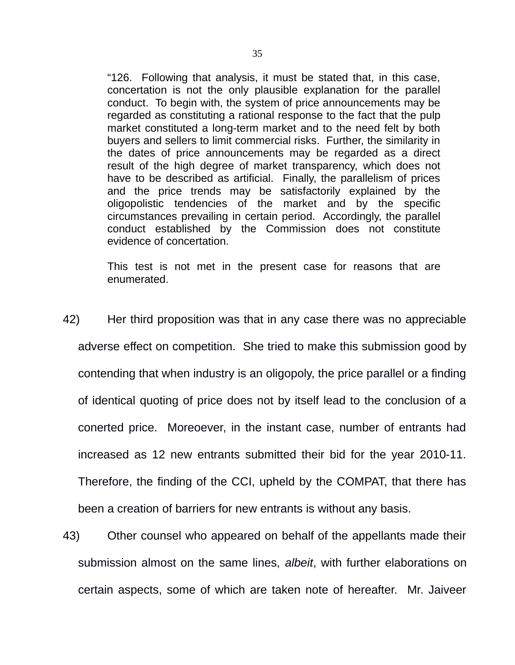"126. Following that analysis, it must be stated that, in this case, concertation is not the only plausible explanation for the parallel conduct. To begin with, the system of price announcements may be regarded as constituting a rational response to the fact that the pulp market constituted a long-term market and to the need felt by both buyers and sellers to limit commercial risks. Further, the similarity in the dates of price announcements may be regarded as a direct result of the high degree of market transparency, which does not have to be described as artificial. Finally, the parallelism of prices and the price trends may be satisfactorily explained by the oligopolistic tendencies of the market and by the specific circumstances prevailing in certain period. Accordingly, the parallel conduct established by the Commission does not constitute evidence of concertation.

This test is not met in the present case for reasons that are enumerated.

- 42) Her third proposition was that in any case there was no appreciable adverse effect on competition. She tried to make this submission good by contending that when industry is an oligopoly, the price parallel or a finding of identical quoting of price does not by itself lead to the conclusion of a conerted price. Moreoever, in the instant case, number of entrants had increased as 12 new entrants submitted their bid for the year 2010-11. Therefore, the finding of the CCI, upheld by the COMPAT, that there has been a creation of barriers for new entrants is without any basis.
- 43) Other counsel who appeared on behalf of the appellants made their submission almost on the same lines, *albeit*, with further elaborations on certain aspects, some of which are taken note of hereafter. Mr. Jaiveer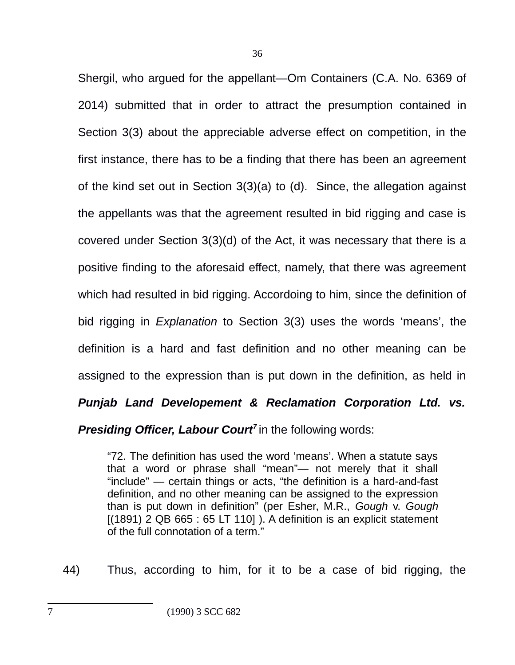Shergil, who argued for the appellant—Om Containers (C.A. No. 6369 of 2014) submitted that in order to attract the presumption contained in Section 3(3) about the appreciable adverse effect on competition, in the first instance, there has to be a finding that there has been an agreement of the kind set out in Section 3(3)(a) to (d). Since, the allegation against the appellants was that the agreement resulted in bid rigging and case is covered under Section 3(3)(d) of the Act, it was necessary that there is a positive finding to the aforesaid effect, namely, that there was agreement which had resulted in bid rigging. Accordoing to him, since the definition of bid rigging in *Explanation* to Section 3(3) uses the words 'means', the definition is a hard and fast definition and no other meaning can be assigned to the expression than is put down in the definition, as held in

*Punjab Land Developement & Reclamation Corporation Ltd. vs.*

*Presiding Officer, Labour Court[7](#page-35-0)* in the following words:

"72. The definition has used the word 'means'. When a statute says that a word or phrase shall "mean"— not merely that it shall "include" — certain things or acts, "the definition is a hard-and-fast definition, and no other meaning can be assigned to the expression than is put down in definition" (per Esher, M.R., *Gough* v. *Gough*  $[(1891)$  2 QB 665 : 65 LT 110] ). A definition is an explicit statement of the full connotation of a term."

44) Thus, according to him, for it to be a case of bid rigging, the

<span id="page-35-0"></span>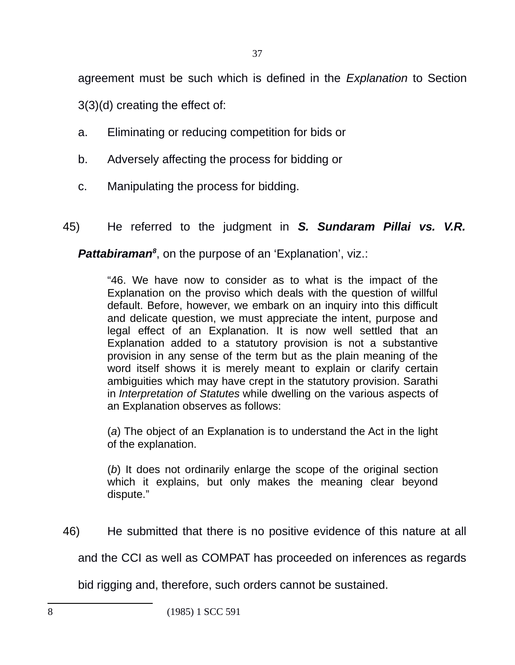agreement must be such which is defined in the *Explanation* to Section

3(3)(d) creating the effect of:

- a. Eliminating or reducing competition for bids or
- b. Adversely affecting the process for bidding or
- c. Manipulating the process for bidding.
- 45) He referred to the judgment in *S. Sundaram Pillai vs. V.R.*

Pattabiraman<sup>[8](#page-36-0)</sup>, on the purpose of an 'Explanation', viz.:

"46. We have now to consider as to what is the impact of the Explanation on the proviso which deals with the question of willful default. Before, however, we embark on an inquiry into this difficult and delicate question, we must appreciate the intent, purpose and legal effect of an Explanation. It is now well settled that an Explanation added to a statutory provision is not a substantive provision in any sense of the term but as the plain meaning of the word itself shows it is merely meant to explain or clarify certain ambiguities which may have crept in the statutory provision. Sarathi in *Interpretation of Statutes* while dwelling on the various aspects of an Explanation observes as follows:

(*a*) The object of an Explanation is to understand the Act in the light of the explanation.

(*b*) It does not ordinarily enlarge the scope of the original section which it explains, but only makes the meaning clear beyond dispute."

46) He submitted that there is no positive evidence of this nature at all

and the CCI as well as COMPAT has proceeded on inferences as regards

<span id="page-36-0"></span>bid rigging and, therefore, such orders cannot be sustained.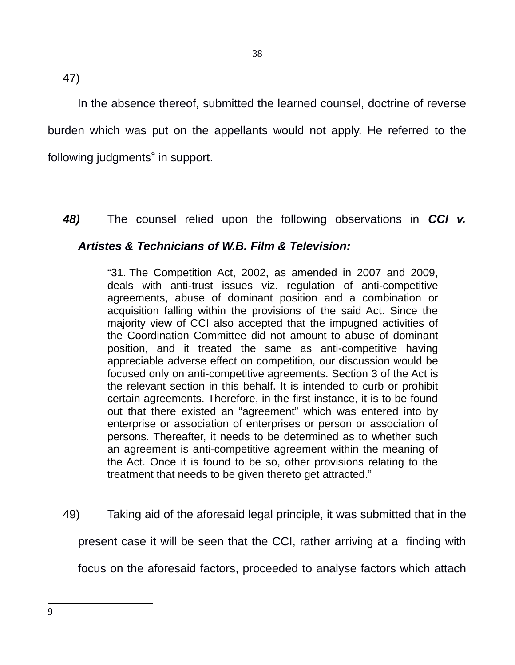In the absence thereof, submitted the learned counsel, doctrine of reverse burden which was put on the appellants would not apply. He referred to the following judgments<sup>[9](#page-37-0)</sup> in support.

# *48)* The counsel relied upon the following observations in *CCI v.*

# *Artistes & Technicians of W.B. Film & Television:*

"31. The Competition Act, 2002, as amended in 2007 and 2009, deals with anti-trust issues viz. regulation of anti-competitive agreements, abuse of dominant position and a combination or acquisition falling within the provisions of the said Act. Since the majority view of CCI also accepted that the impugned activities of the Coordination Committee did not amount to abuse of dominant position, and it treated the same as anti-competitive having appreciable adverse effect on competition, our discussion would be focused only on anti-competitive agreements. Section 3 of the Act is the relevant section in this behalf. It is intended to curb or prohibit certain agreements. Therefore, in the first instance, it is to be found out that there existed an "agreement" which was entered into by enterprise or association of enterprises or person or association of persons. Thereafter, it needs to be determined as to whether such an agreement is anti-competitive agreement within the meaning of the Act. Once it is found to be so, other provisions relating to the treatment that needs to be given thereto get attracted."

49) Taking aid of the aforesaid legal principle, it was submitted that in the present case it will be seen that the CCI, rather arriving at a finding with focus on the aforesaid factors, proceeded to analyse factors which attach

<span id="page-37-0"></span> $\mathbf{q}$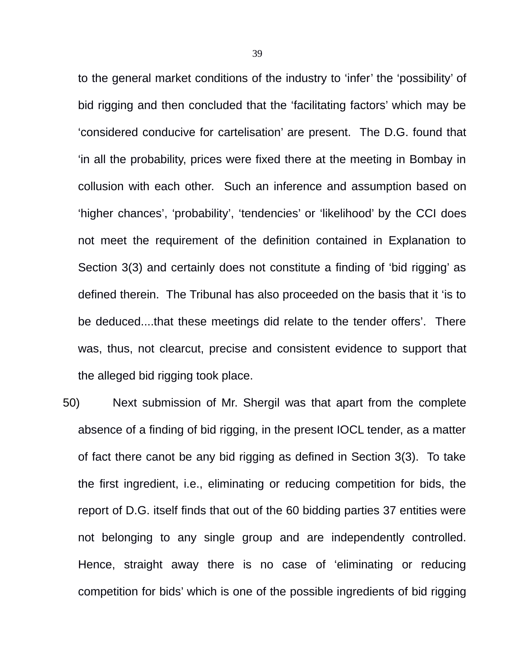to the general market conditions of the industry to 'infer' the 'possibility' of bid rigging and then concluded that the 'facilitating factors' which may be 'considered conducive for cartelisation' are present. The D.G. found that 'in all the probability, prices were fixed there at the meeting in Bombay in collusion with each other. Such an inference and assumption based on 'higher chances', 'probability', 'tendencies' or 'likelihood' by the CCI does not meet the requirement of the definition contained in Explanation to Section 3(3) and certainly does not constitute a finding of 'bid rigging' as defined therein. The Tribunal has also proceeded on the basis that it 'is to be deduced....that these meetings did relate to the tender offers'. There was, thus, not clearcut, precise and consistent evidence to support that the alleged bid rigging took place.

50) Next submission of Mr. Shergil was that apart from the complete absence of a finding of bid rigging, in the present IOCL tender, as a matter of fact there canot be any bid rigging as defined in Section 3(3). To take the first ingredient, i.e., eliminating or reducing competition for bids, the report of D.G. itself finds that out of the 60 bidding parties 37 entities were not belonging to any single group and are independently controlled. Hence, straight away there is no case of 'eliminating or reducing competition for bids' which is one of the possible ingredients of bid rigging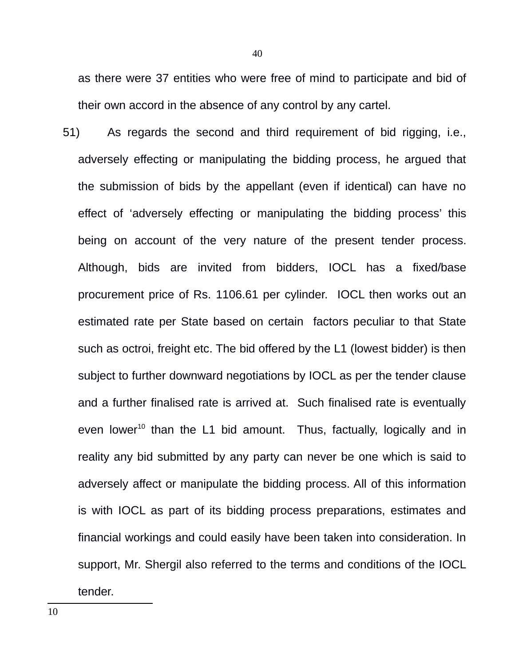as there were 37 entities who were free of mind to participate and bid of their own accord in the absence of any control by any cartel.

<span id="page-39-0"></span>51) As regards the second and third requirement of bid rigging, i.e., adversely effecting or manipulating the bidding process, he argued that the submission of bids by the appellant (even if identical) can have no effect of 'adversely effecting or manipulating the bidding process' this being on account of the very nature of the present tender process. Although, bids are invited from bidders, IOCL has a fixed/base procurement price of Rs. 1106.61 per cylinder. IOCL then works out an estimated rate per State based on certain factors peculiar to that State such as octroi, freight etc. The bid offered by the L1 (lowest bidder) is then subject to further downward negotiations by IOCL as per the tender clause and a further finalised rate is arrived at. Such finalised rate is eventually even lower<sup>[10](#page-39-0)</sup> than the L1 bid amount. Thus, factually, logically and in reality any bid submitted by any party can never be one which is said to adversely affect or manipulate the bidding process. All of this information is with IOCL as part of its bidding process preparations, estimates and financial workings and could easily have been taken into consideration. In support, Mr. Shergil also referred to the terms and conditions of the IOCL tender.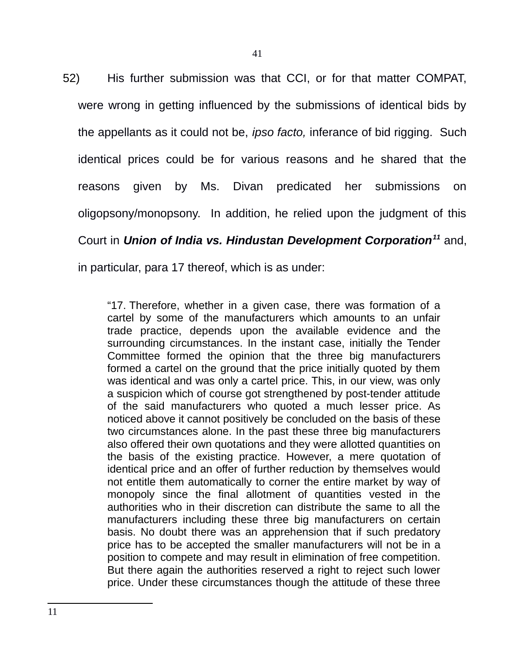52) His further submission was that CCI, or for that matter COMPAT, were wrong in getting influenced by the submissions of identical bids by the appellants as it could not be, *ipso facto,* inferance of bid rigging. Such identical prices could be for various reasons and he shared that the reasons given by Ms. Divan predicated her submissions on oligopsony/monopsony. In addition, he relied upon the judgment of this Court in *Union of India vs. Hindustan Development Corporation[11](#page-40-0)* and,

in particular, para 17 thereof, which is as under:

<span id="page-40-0"></span>"17. Therefore, whether in a given case, there was formation of a cartel by some of the manufacturers which amounts to an unfair trade practice, depends upon the available evidence and the surrounding circumstances. In the instant case, initially the Tender Committee formed the opinion that the three big manufacturers formed a cartel on the ground that the price initially quoted by them was identical and was only a cartel price. This, in our view, was only a suspicion which of course got strengthened by post-tender attitude of the said manufacturers who quoted a much lesser price. As noticed above it cannot positively be concluded on the basis of these two circumstances alone. In the past these three big manufacturers also offered their own quotations and they were allotted quantities on the basis of the existing practice. However, a mere quotation of identical price and an offer of further reduction by themselves would not entitle them automatically to corner the entire market by way of monopoly since the final allotment of quantities vested in the authorities who in their discretion can distribute the same to all the manufacturers including these three big manufacturers on certain basis. No doubt there was an apprehension that if such predatory price has to be accepted the smaller manufacturers will not be in a position to compete and may result in elimination of free competition. But there again the authorities reserved a right to reject such lower price. Under these circumstances though the attitude of these three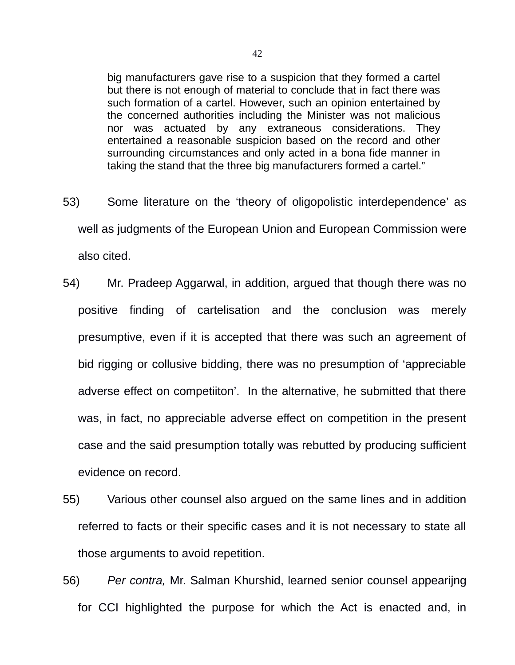big manufacturers gave rise to a suspicion that they formed a cartel but there is not enough of material to conclude that in fact there was such formation of a cartel. However, such an opinion entertained by the concerned authorities including the Minister was not malicious nor was actuated by any extraneous considerations. They entertained a reasonable suspicion based on the record and other surrounding circumstances and only acted in a bona fide manner in taking the stand that the three big manufacturers formed a cartel."

- 53) Some literature on the 'theory of oligopolistic interdependence' as well as judgments of the European Union and European Commission were also cited.
- 54) Mr. Pradeep Aggarwal, in addition, argued that though there was no positive finding of cartelisation and the conclusion was merely presumptive, even if it is accepted that there was such an agreement of bid rigging or collusive bidding, there was no presumption of 'appreciable adverse effect on competiiton'. In the alternative, he submitted that there was, in fact, no appreciable adverse effect on competition in the present case and the said presumption totally was rebutted by producing sufficient evidence on record.
- 55) Various other counsel also argued on the same lines and in addition referred to facts or their specific cases and it is not necessary to state all those arguments to avoid repetition.
- 56) *Per contra,* Mr. Salman Khurshid, learned senior counsel appearijng for CCI highlighted the purpose for which the Act is enacted and, in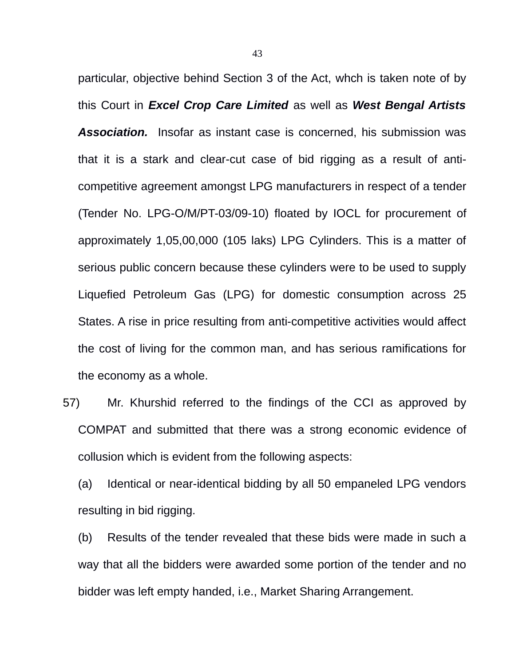particular, objective behind Section 3 of the Act, whch is taken note of by this Court in *Excel Crop Care Limited* as well as *West Bengal Artists Association.* Insofar as instant case is concerned, his submission was that it is a stark and clear-cut case of bid rigging as a result of anticompetitive agreement amongst LPG manufacturers in respect of a tender (Tender No. LPG-O/M/PT-03/09-10) floated by IOCL for procurement of approximately 1,05,00,000 (105 laks) LPG Cylinders. This is a matter of serious public concern because these cylinders were to be used to supply Liquefied Petroleum Gas (LPG) for domestic consumption across 25 States. A rise in price resulting from anti-competitive activities would affect the cost of living for the common man, and has serious ramifications for the economy as a whole.

57) Mr. Khurshid referred to the findings of the CCI as approved by COMPAT and submitted that there was a strong economic evidence of collusion which is evident from the following aspects:

(a) Identical or near-identical bidding by all 50 empaneled LPG vendors resulting in bid rigging.

(b) Results of the tender revealed that these bids were made in such a way that all the bidders were awarded some portion of the tender and no bidder was left empty handed, i.e., Market Sharing Arrangement.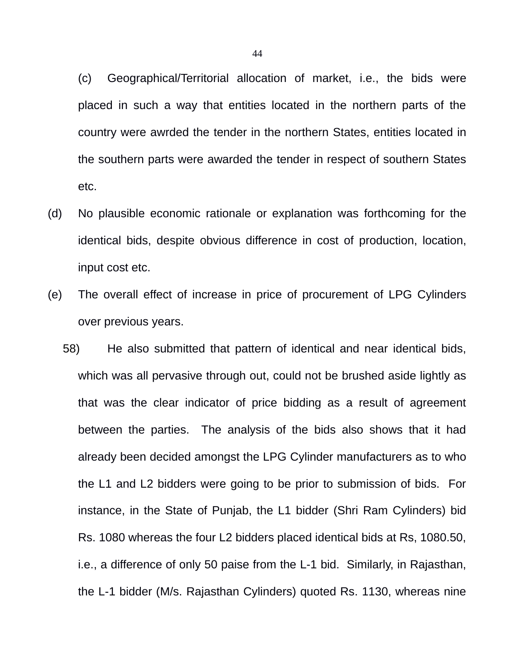(c) Geographical/Territorial allocation of market, i.e., the bids were placed in such a way that entities located in the northern parts of the country were awrded the tender in the northern States, entities located in the southern parts were awarded the tender in respect of southern States etc.

- (d) No plausible economic rationale or explanation was forthcoming for the identical bids, despite obvious difference in cost of production, location, input cost etc.
- (e) The overall effect of increase in price of procurement of LPG Cylinders over previous years.
	- 58) He also submitted that pattern of identical and near identical bids, which was all pervasive through out, could not be brushed aside lightly as that was the clear indicator of price bidding as a result of agreement between the parties. The analysis of the bids also shows that it had already been decided amongst the LPG Cylinder manufacturers as to who the L1 and L2 bidders were going to be prior to submission of bids. For instance, in the State of Punjab, the L1 bidder (Shri Ram Cylinders) bid Rs. 1080 whereas the four L2 bidders placed identical bids at Rs, 1080.50, i.e., a difference of only 50 paise from the L-1 bid. Similarly, in Rajasthan, the L-1 bidder (M/s. Rajasthan Cylinders) quoted Rs. 1130, whereas nine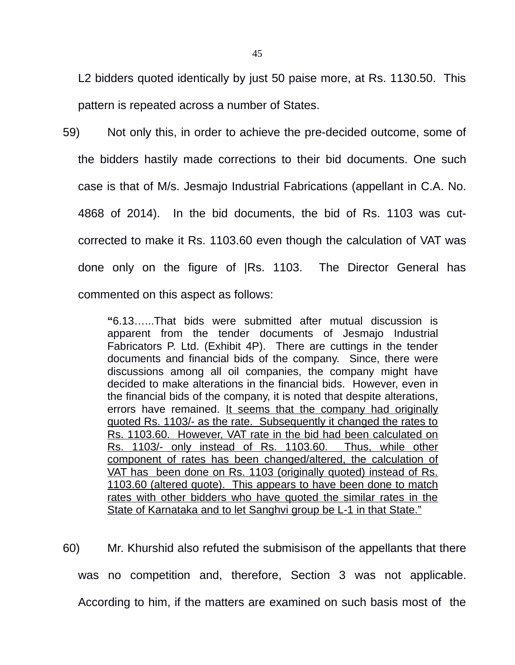L<sub>2</sub> bidders quoted identically by just 50 paise more, at Rs. 1130.50. This pattern is repeated across a number of States.

59) Not only this, in order to achieve the pre-decided outcome, some of the bidders hastily made corrections to their bid documents. One such case is that of M/s. Jesmajo Industrial Fabrications (appellant in C.A. No. 4868 of 2014). In the bid documents, the bid of Rs. 1103 was cutcorrected to make it Rs. 1103.60 even though the calculation of VAT was done only on the figure of |Rs. 1103. The Director General has commented on this aspect as follows:

> **"**6.13…...That bids were submitted after mutual discussion is apparent from the tender documents of Jesmajo Industrial Fabricators P. Ltd. (Exhibit 4P). There are cuttings in the tender documents and financial bids of the company. Since, there were discussions among all oil companies, the company might have decided to make alterations in the financial bids. However, even in the financial bids of the company, it is noted that despite alterations, errors have remained. It seems that the company had originally quoted Rs. 1103/- as the rate. Subsequently it changed the rates to Rs. 1103.60. However, VAT rate in the bid had been calculated on Rs. 1103/- only instead of Rs. 1103.60. Thus, while other component of rates has been changed/altered, the calculation of VAT has been done on Rs. 1103 (originally quoted) instead of Rs. 1103.60 (altered quote). This appears to have been done to match rates with other bidders who have quoted the similar rates in the State of Karnataka and to let Sanghvi group be L-1 in that State."

60) Mr. Khurshid also refuted the submisison of the appellants that there was no competition and, therefore, Section 3 was not applicable. According to him, if the matters are examined on such basis most of the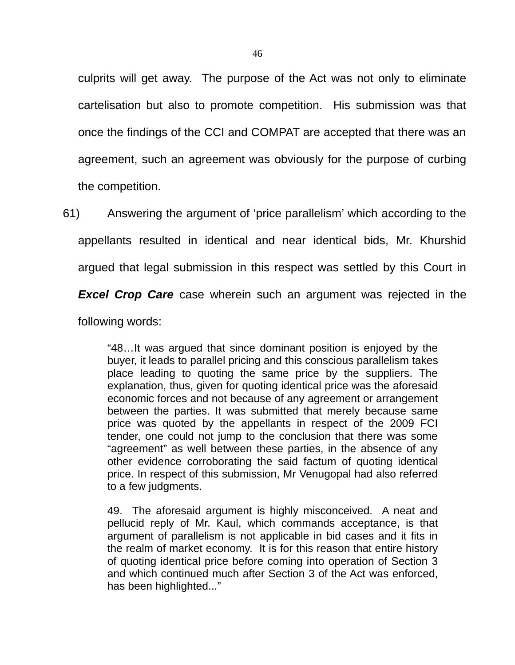culprits will get away. The purpose of the Act was not only to eliminate cartelisation but also to promote competition. His submission was that once the findings of the CCI and COMPAT are accepted that there was an agreement, such an agreement was obviously for the purpose of curbing the competition.

61) Answering the argument of 'price parallelism' which according to the appellants resulted in identical and near identical bids, Mr. Khurshid argued that legal submission in this respect was settled by this Court in *Excel Crop Care* case wherein such an argument was rejected in the following words:

> "48…It was argued that since dominant position is enjoyed by the buyer, it leads to parallel pricing and this conscious parallelism takes place leading to quoting the same price by the suppliers. The explanation, thus, given for quoting identical price was the aforesaid economic forces and not because of any agreement or arrangement between the parties. It was submitted that merely because same price was quoted by the appellants in respect of the 2009 FCI tender, one could not jump to the conclusion that there was some "agreement" as well between these parties, in the absence of any other evidence corroborating the said factum of quoting identical price. In respect of this submission, Mr Venugopal had also referred to a few judgments.

> 49. The aforesaid argument is highly misconceived. A neat and pellucid reply of Mr. Kaul, which commands acceptance, is that argument of parallelism is not applicable in bid cases and it fits in the realm of market economy. It is for this reason that entire history of quoting identical price before coming into operation of Section 3 and which continued much after Section 3 of the Act was enforced, has been highlighted..."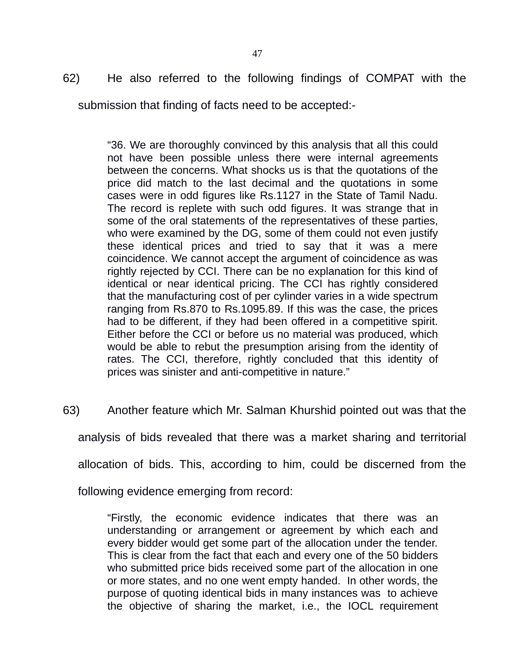62) He also referred to the following findings of COMPAT with the

submission that finding of facts need to be accepted:-

"36. We are thoroughly convinced by this analysis that all this could not have been possible unless there were internal agreements between the concerns. What shocks us is that the quotations of the price did match to the last decimal and the quotations in some cases were in odd figures like Rs.1127 in the State of Tamil Nadu. The record is replete with such odd figures. It was strange that in some of the oral statements of the representatives of these parties, who were examined by the DG, some of them could not even justify these identical prices and tried to say that it was a mere coincidence. We cannot accept the argument of coincidence as was rightly rejected by CCI. There can be no explanation for this kind of identical or near identical pricing. The CCI has rightly considered that the manufacturing cost of per cylinder varies in a wide spectrum ranging from Rs.870 to Rs.1095.89. If this was the case, the prices had to be different, if they had been offered in a competitive spirit. Either before the CCI or before us no material was produced, which would be able to rebut the presumption arising from the identity of rates. The CCI, therefore, rightly concluded that this identity of prices was sinister and anti-competitive in nature."

63) Another feature which Mr. Salman Khurshid pointed out was that the

analysis of bids revealed that there was a market sharing and territorial

allocation of bids. This, according to him, could be discerned from the

following evidence emerging from record:

"Firstly, the economic evidence indicates that there was an understanding or arrangement or agreement by which each and every bidder would get some part of the allocation under the tender. This is clear from the fact that each and every one of the 50 bidders who submitted price bids received some part of the allocation in one or more states, and no one went empty handed. In other words, the purpose of quoting identical bids in many instances was to achieve the objective of sharing the market, i.e., the IOCL requirement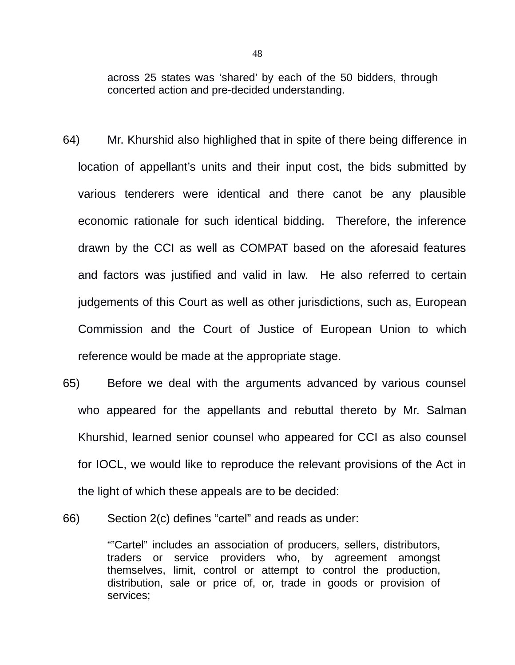across 25 states was 'shared' by each of the 50 bidders, through concerted action and pre-decided understanding.

- 64) Mr. Khurshid also highlighed that in spite of there being difference in location of appellant's units and their input cost, the bids submitted by various tenderers were identical and there canot be any plausible economic rationale for such identical bidding. Therefore, the inference drawn by the CCI as well as COMPAT based on the aforesaid features and factors was justified and valid in law. He also referred to certain judgements of this Court as well as other jurisdictions, such as, European Commission and the Court of Justice of European Union to which reference would be made at the appropriate stage.
- 65) Before we deal with the arguments advanced by various counsel who appeared for the appellants and rebuttal thereto by Mr. Salman Khurshid, learned senior counsel who appeared for CCI as also counsel for IOCL, we would like to reproduce the relevant provisions of the Act in the light of which these appeals are to be decided:

66) Section 2(c) defines "cartel" and reads as under:

""Cartel" includes an association of producers, sellers, distributors, traders or service providers who, by agreement amongst themselves, limit, control or attempt to control the production, distribution, sale or price of, or, trade in goods or provision of services;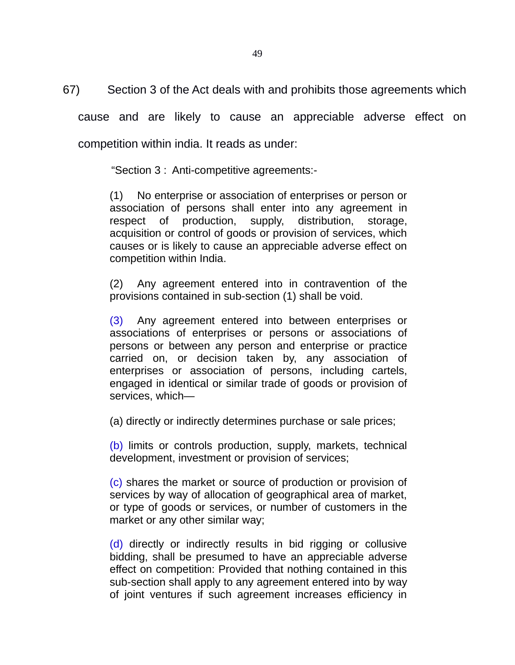67) Section 3 of the Act deals with and prohibits those agreements which

cause and are likely to cause an appreciable adverse effect on competition within india. It reads as under:

"Section 3 : Anti-competitive agreements:-

(1) No enterprise or association of enterprises or person or association of persons shall enter into any agreement in respect of production, supply, distribution, storage, acquisition or control of goods or provision of services, which causes or is likely to cause an appreciable adverse effect on competition within India.

(2) Any agreement entered into in contravention of the provisions contained in sub-section (1) shall be void.

(3) Any agreement entered into between enterprises or associations of enterprises or persons or associations of persons or between any person and enterprise or practice carried on, or decision taken by, any association of enterprises or association of persons, including cartels, engaged in identical or similar trade of goods or provision of services, which—

(a) directly or indirectly determines purchase or sale prices;

(b) limits or controls production, supply, markets, technical development, investment or provision of services;

(c) shares the market or source of production or provision of services by way of allocation of geographical area of market, or type of goods or services, or number of customers in the market or any other similar way;

(d) directly or indirectly results in bid rigging or collusive bidding, shall be presumed to have an appreciable adverse effect on competition: Provided that nothing contained in this sub-section shall apply to any agreement entered into by way of joint ventures if such agreement increases efficiency in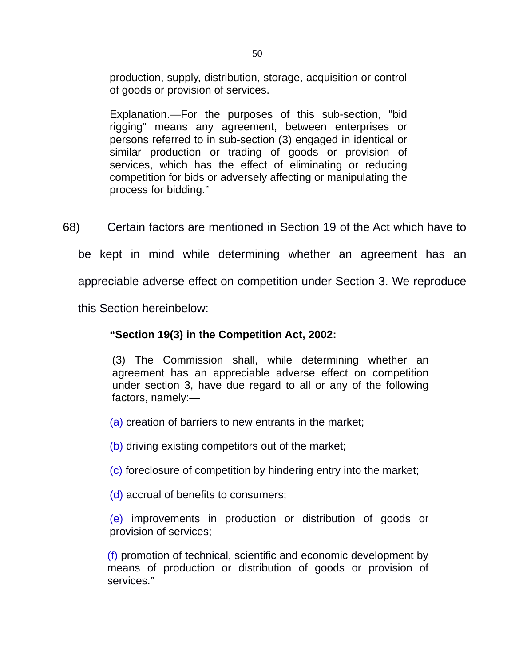production, supply, distribution, storage, acquisition or control of goods or provision of services.

Explanation.—For the purposes of this sub-section, "bid rigging" means any agreement, between enterprises or persons referred to in sub-section (3) engaged in identical or similar production or trading of goods or provision of services, which has the effect of eliminating or reducing competition for bids or adversely affecting or manipulating the process for bidding."

68) Certain factors are mentioned in Section 19 of the Act which have to

be kept in mind while determining whether an agreement has an

appreciable adverse effect on competition under Section 3. We reproduce

this Section hereinbelow:

#### **"Section 19(3) in the Competition Act, 2002:**

(3) The Commission shall, while determining whether an agreement has an appreciable adverse effect on competition under section 3, have due regard to all or any of the following factors, namely:—

(a) creation of barriers to new entrants in the market;

(b) driving existing competitors out of the market;

(c) foreclosure of competition by hindering entry into the market;

(d) accrual of benefits to consumers;

(e) improvements in production or distribution of goods or provision of services;

(f) promotion of technical, scientific and economic development by means of production or distribution of goods or provision of services."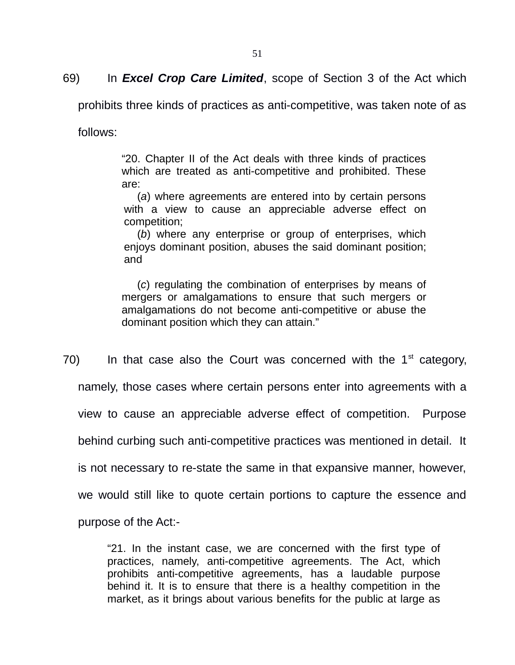69) In *Excel Crop Care Limited*, scope of Section 3 of the Act which

prohibits three kinds of practices as anti-competitive, was taken note of as

follows:

"20. Chapter II of the Act deals with three kinds of practices which are treated as anti-competitive and prohibited. These are:

(*a*) where agreements are entered into by certain persons with a view to cause an appreciable adverse effect on competition;

(*b*) where any enterprise or group of enterprises, which enjoys dominant position, abuses the said dominant position; and

(*c*) regulating the combination of enterprises by means of mergers or amalgamations to ensure that such mergers or amalgamations do not become anti-competitive or abuse the dominant position which they can attain."

70) In that case also the Court was concerned with the  $1<sup>st</sup>$  category, namely, those cases where certain persons enter into agreements with a view to cause an appreciable adverse effect of competition. Purpose behind curbing such anti-competitive practices was mentioned in detail. It is not necessary to re-state the same in that expansive manner, however, we would still like to quote certain portions to capture the essence and purpose of the Act:-

> "21. In the instant case, we are concerned with the first type of practices, namely, anti-competitive agreements. The Act, which prohibits anti-competitive agreements, has a laudable purpose behind it. It is to ensure that there is a healthy competition in the market, as it brings about various benefits for the public at large as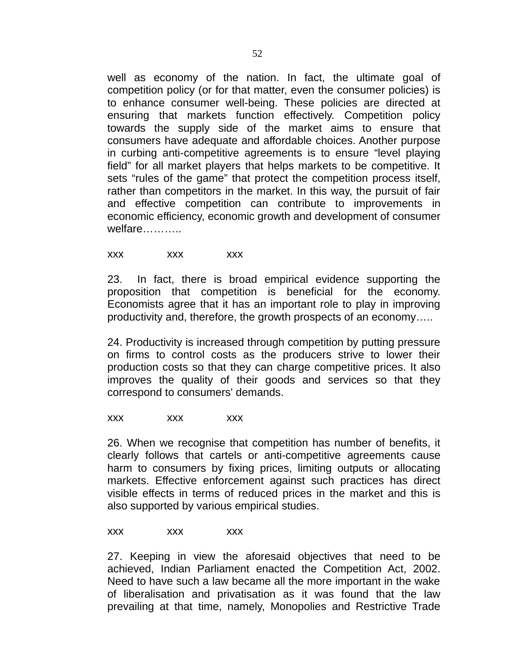well as economy of the nation. In fact, the ultimate goal of competition policy (or for that matter, even the consumer policies) is to enhance consumer well-being. These policies are directed at ensuring that markets function effectively. Competition policy towards the supply side of the market aims to ensure that consumers have adequate and affordable choices. Another purpose in curbing anti-competitive agreements is to ensure "level playing field" for all market players that helps markets to be competitive. It sets "rules of the game" that protect the competition process itself, rather than competitors in the market. In this way, the pursuit of fair and effective competition can contribute to improvements in economic efficiency, economic growth and development of consumer welfare………..

xxx xxx xxx

23. In fact, there is broad empirical evidence supporting the proposition that competition is beneficial for the economy. Economists agree that it has an important role to play in improving productivity and, therefore, the growth prospects of an economy…..

24. Productivity is increased through competition by putting pressure on firms to control costs as the producers strive to lower their production costs so that they can charge competitive prices. It also improves the quality of their goods and services so that they correspond to consumers' demands.

xxx xxx xxx

26. When we recognise that competition has number of benefits, it clearly follows that cartels or anti-competitive agreements cause harm to consumers by fixing prices, limiting outputs or allocating markets. Effective enforcement against such practices has direct visible effects in terms of reduced prices in the market and this is also supported by various empirical studies.

xxx xxx xxx

27. Keeping in view the aforesaid objectives that need to be achieved, Indian Parliament enacted the Competition Act, 2002. Need to have such a law became all the more important in the wake of liberalisation and privatisation as it was found that the law prevailing at that time, namely, Monopolies and Restrictive Trade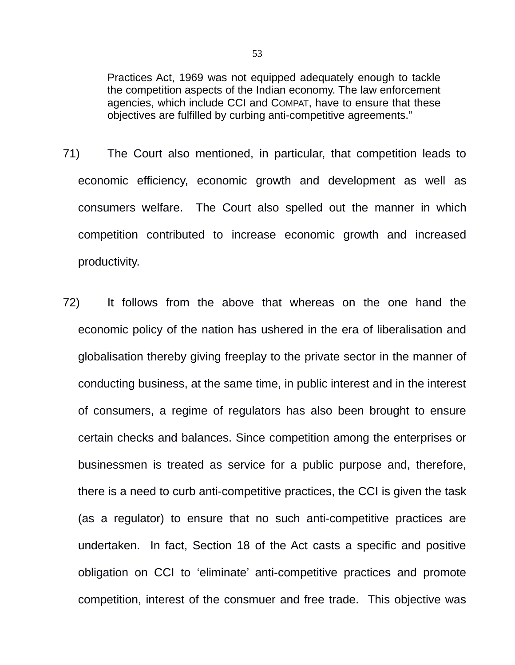Practices Act, 1969 was not equipped adequately enough to tackle the competition aspects of the Indian economy. The law enforcement agencies, which include CCI and COMPAT, have to ensure that these objectives are fulfilled by curbing anti-competitive agreements."

- 71) The Court also mentioned, in particular, that competition leads to economic efficiency, economic growth and development as well as consumers welfare. The Court also spelled out the manner in which competition contributed to increase economic growth and increased productivity.
- 72) It follows from the above that whereas on the one hand the economic policy of the nation has ushered in the era of liberalisation and globalisation thereby giving freeplay to the private sector in the manner of conducting business, at the same time, in public interest and in the interest of consumers, a regime of regulators has also been brought to ensure certain checks and balances. Since competition among the enterprises or businessmen is treated as service for a public purpose and, therefore, there is a need to curb anti-competitive practices, the CCI is given the task (as a regulator) to ensure that no such anti-competitive practices are undertaken. In fact, Section 18 of the Act casts a specific and positive obligation on CCI to 'eliminate' anti-competitive practices and promote competition, interest of the consmuer and free trade. This objective was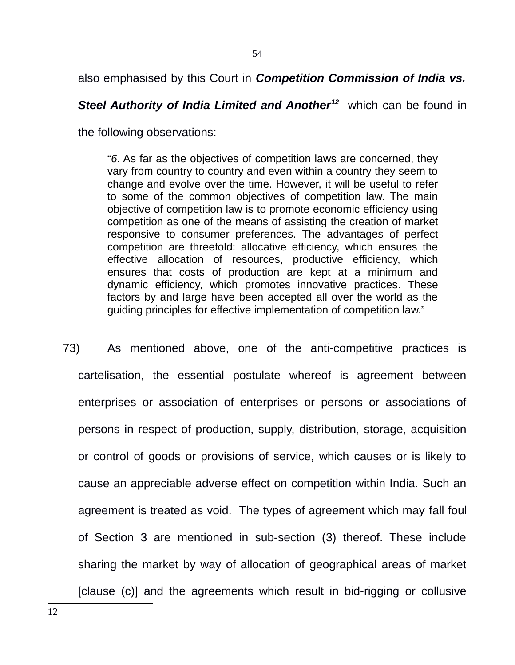### also emphasised by this Court in *Competition Commission of India vs.*

*Steel Authority of India Limited and Another[12](#page-53-0)* which can be found in

the following observations:

"*6*. As far as the objectives of competition laws are concerned, they vary from country to country and even within a country they seem to change and evolve over the time. However, it will be useful to refer to some of the common objectives of competition law. The main objective of competition law is to promote economic efficiency using competition as one of the means of assisting the creation of market responsive to consumer preferences. The advantages of perfect competition are threefold: allocative efficiency, which ensures the effective allocation of resources, productive efficiency, which ensures that costs of production are kept at a minimum and dynamic efficiency, which promotes innovative practices. These factors by and large have been accepted all over the world as the guiding principles for effective implementation of competition law."

<span id="page-53-0"></span>73) As mentioned above, one of the anti-competitive practices is cartelisation, the essential postulate whereof is agreement between enterprises or association of enterprises or persons or associations of persons in respect of production, supply, distribution, storage, acquisition or control of goods or provisions of service, which causes or is likely to cause an appreciable adverse effect on competition within India. Such an agreement is treated as void. The types of agreement which may fall foul of Section 3 are mentioned in sub-section (3) thereof. These include sharing the market by way of allocation of geographical areas of market [clause (c)] and the agreements which result in bid-rigging or collusive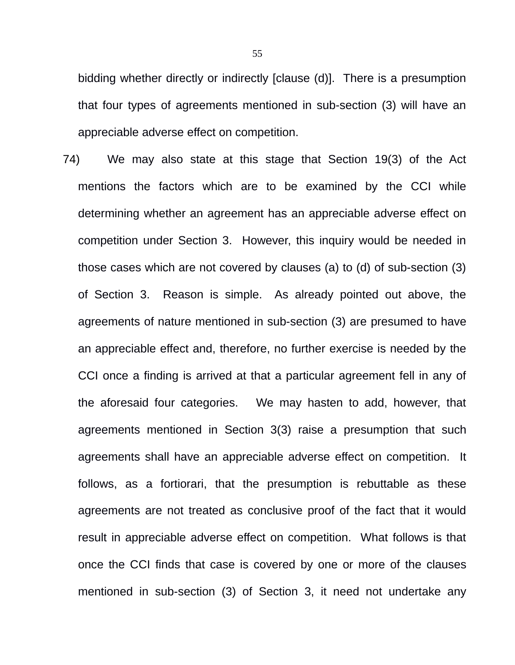bidding whether directly or indirectly [clause (d)]. There is a presumption that four types of agreements mentioned in sub-section (3) will have an appreciable adverse effect on competition.

74) We may also state at this stage that Section 19(3) of the Act mentions the factors which are to be examined by the CCI while determining whether an agreement has an appreciable adverse effect on competition under Section 3. However, this inquiry would be needed in those cases which are not covered by clauses (a) to (d) of sub-section (3) of Section 3. Reason is simple. As already pointed out above, the agreements of nature mentioned in sub-section (3) are presumed to have an appreciable effect and, therefore, no further exercise is needed by the CCI once a finding is arrived at that a particular agreement fell in any of the aforesaid four categories. We may hasten to add, however, that agreements mentioned in Section 3(3) raise a presumption that such agreements shall have an appreciable adverse effect on competition. It follows, as a fortiorari, that the presumption is rebuttable as these agreements are not treated as conclusive proof of the fact that it would result in appreciable adverse effect on competition. What follows is that once the CCI finds that case is covered by one or more of the clauses mentioned in sub-section (3) of Section 3, it need not undertake any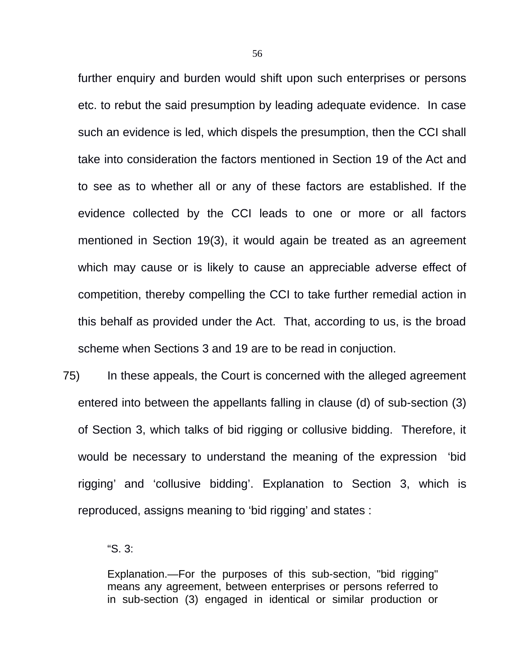further enquiry and burden would shift upon such enterprises or persons etc. to rebut the said presumption by leading adequate evidence. In case such an evidence is led, which dispels the presumption, then the CCI shall take into consideration the factors mentioned in Section 19 of the Act and to see as to whether all or any of these factors are established. If the evidence collected by the CCI leads to one or more or all factors mentioned in Section 19(3), it would again be treated as an agreement which may cause or is likely to cause an appreciable adverse effect of competition, thereby compelling the CCI to take further remedial action in this behalf as provided under the Act. That, according to us, is the broad scheme when Sections 3 and 19 are to be read in conjuction.

75) In these appeals, the Court is concerned with the alleged agreement entered into between the appellants falling in clause (d) of sub-section (3) of Section 3, which talks of bid rigging or collusive bidding. Therefore, it would be necessary to understand the meaning of the expression 'bid rigging' and 'collusive bidding'. Explanation to Section 3, which is reproduced, assigns meaning to 'bid rigging' and states :

"S. 3:

Explanation.—For the purposes of this sub-section, "bid rigging" means any agreement, between enterprises or persons referred to in sub-section (3) engaged in identical or similar production or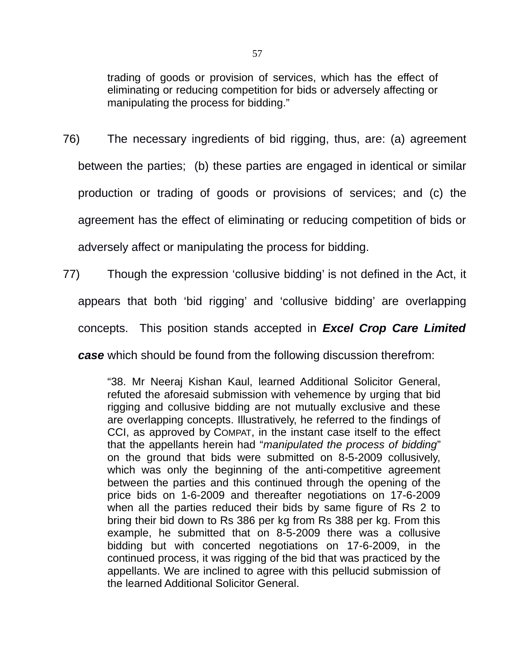trading of goods or provision of services, which has the effect of eliminating or reducing competition for bids or adversely affecting or manipulating the process for bidding."

- 76) The necessary ingredients of bid rigging, thus, are: (a) agreement between the parties; (b) these parties are engaged in identical or similar production or trading of goods or provisions of services; and (c) the agreement has the effect of eliminating or reducing competition of bids or adversely affect or manipulating the process for bidding.
- 77) Though the expression 'collusive bidding' is not defined in the Act, it appears that both 'bid rigging' and 'collusive bidding' are overlapping concepts. This position stands accepted in *Excel Crop Care Limited*

*case* which should be found from the following discussion therefrom:

"38. Mr Neeraj Kishan Kaul, learned Additional Solicitor General, refuted the aforesaid submission with vehemence by urging that bid rigging and collusive bidding are not mutually exclusive and these are overlapping concepts. Illustratively, he referred to the findings of CCI, as approved by COMPAT, in the instant case itself to the effect that the appellants herein had "*manipulated the process of bidding*" on the ground that bids were submitted on 8-5-2009 collusively, which was only the beginning of the anti-competitive agreement between the parties and this continued through the opening of the price bids on 1-6-2009 and thereafter negotiations on 17-6-2009 when all the parties reduced their bids by same figure of Rs 2 to bring their bid down to Rs 386 per kg from Rs 388 per kg. From this example, he submitted that on 8-5-2009 there was a collusive bidding but with concerted negotiations on 17-6-2009, in the continued process, it was rigging of the bid that was practiced by the appellants. We are inclined to agree with this pellucid submission of the learned Additional Solicitor General.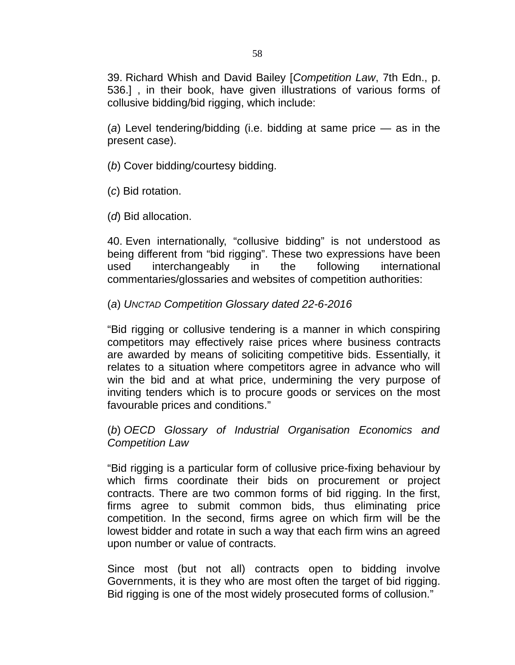39. Richard Whish and David Bailey [*Competition Law*, 7th Edn., p. 536.] , in their book, have given illustrations of various forms of collusive bidding/bid rigging, which include:

(*a*) Level tendering/bidding (i.e. bidding at same price — as in the present case).

(*b*) Cover bidding/courtesy bidding.

(*c*) Bid rotation.

(*d*) Bid allocation.

40. Even internationally, "collusive bidding" is not understood as being different from "bid rigging". These two expressions have been used interchangeably in the following international commentaries/glossaries and websites of competition authorities:

#### (*a*) *UNCTAD Competition Glossary dated 22-6-2016*

"Bid rigging or collusive tendering is a manner in which conspiring competitors may effectively raise prices where business contracts are awarded by means of soliciting competitive bids. Essentially, it relates to a situation where competitors agree in advance who will win the bid and at what price, undermining the very purpose of inviting tenders which is to procure goods or services on the most favourable prices and conditions."

(*b*) *OECD Glossary of Industrial Organisation Economics and Competition Law*

"Bid rigging is a particular form of collusive price-fixing behaviour by which firms coordinate their bids on procurement or project contracts. There are two common forms of bid rigging. In the first, firms agree to submit common bids, thus eliminating price competition. In the second, firms agree on which firm will be the lowest bidder and rotate in such a way that each firm wins an agreed upon number or value of contracts.

Since most (but not all) contracts open to bidding involve Governments, it is they who are most often the target of bid rigging. Bid rigging is one of the most widely prosecuted forms of collusion."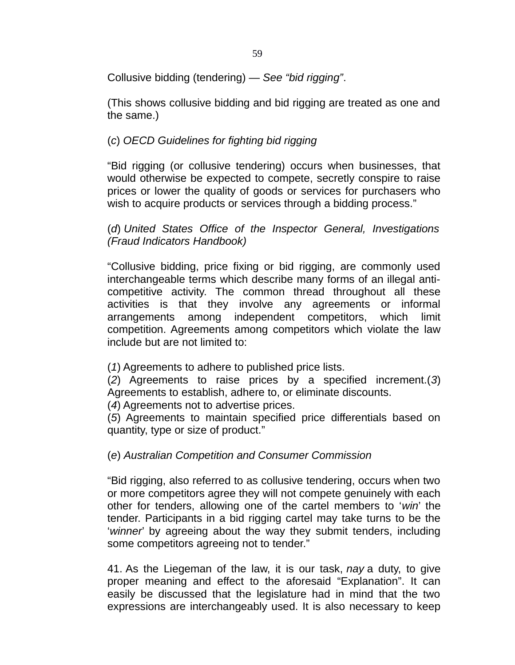Collusive bidding (tendering) — *See "bid rigging"*.

(This shows collusive bidding and bid rigging are treated as one and the same.)

## (*c*) *OECD Guidelines for fighting bid rigging*

"Bid rigging (or collusive tendering) occurs when businesses, that would otherwise be expected to compete, secretly conspire to raise prices or lower the quality of goods or services for purchasers who wish to acquire products or services through a bidding process."

(*d*) *United States Office of the Inspector General, Investigations (Fraud Indicators Handbook)*

"Collusive bidding, price fixing or bid rigging, are commonly used interchangeable terms which describe many forms of an illegal anticompetitive activity. The common thread throughout all these activities is that they involve any agreements or informal arrangements among independent competitors, which limit competition. Agreements among competitors which violate the law include but are not limited to:

(*1*) Agreements to adhere to published price lists.

(*2*) Agreements to raise prices by a specified increment.(*3*) Agreements to establish, adhere to, or eliminate discounts.

(*4*) Agreements not to advertise prices.

(*5*) Agreements to maintain specified price differentials based on quantity, type or size of product."

#### (*e*) *Australian Competition and Consumer Commission*

"Bid rigging, also referred to as collusive tendering, occurs when two or more competitors agree they will not compete genuinely with each other for tenders, allowing one of the cartel members to '*win*' the tender. Participants in a bid rigging cartel may take turns to be the '*winner*' by agreeing about the way they submit tenders, including some competitors agreeing not to tender."

41. As the Liegeman of the law, it is our task, *nay* a duty, to give proper meaning and effect to the aforesaid "Explanation". It can easily be discussed that the legislature had in mind that the two expressions are interchangeably used. It is also necessary to keep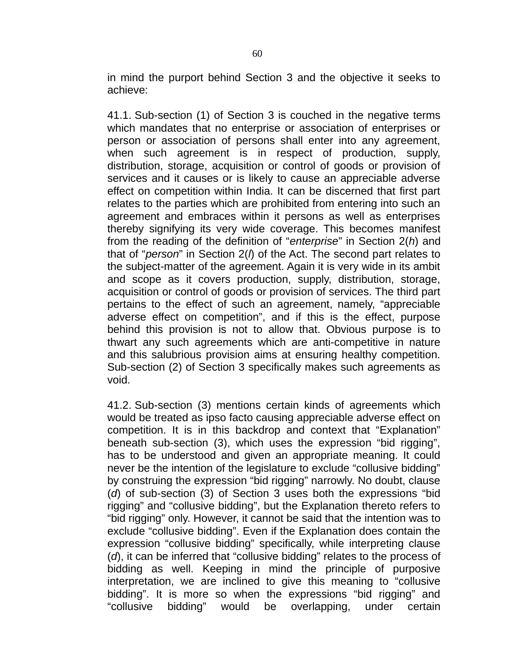in mind the purport behind Section 3 and the objective it seeks to achieve:

41.1. Sub-section (1) of Section 3 is couched in the negative terms which mandates that no enterprise or association of enterprises or person or association of persons shall enter into any agreement, when such agreement is in respect of production, supply, distribution, storage, acquisition or control of goods or provision of services and it causes or is likely to cause an appreciable adverse effect on competition within India. It can be discerned that first part relates to the parties which are prohibited from entering into such an agreement and embraces within it persons as well as enterprises thereby signifying its very wide coverage. This becomes manifest from the reading of the definition of "*enterprise*" in Section 2(*h*) and that of "*person*" in Section 2(*l*) of the Act. The second part relates to the subject-matter of the agreement. Again it is very wide in its ambit and scope as it covers production, supply, distribution, storage, acquisition or control of goods or provision of services. The third part pertains to the effect of such an agreement, namely, "appreciable adverse effect on competition", and if this is the effect, purpose behind this provision is not to allow that. Obvious purpose is to thwart any such agreements which are anti-competitive in nature and this salubrious provision aims at ensuring healthy competition. Sub-section (2) of Section 3 specifically makes such agreements as void.

41.2. Sub-section (3) mentions certain kinds of agreements which would be treated as ipso facto causing appreciable adverse effect on competition. It is in this backdrop and context that "Explanation" beneath sub-section (3), which uses the expression "bid rigging", has to be understood and given an appropriate meaning. It could never be the intention of the legislature to exclude "collusive bidding" by construing the expression "bid rigging" narrowly. No doubt, clause (*d*) of sub-section (3) of Section 3 uses both the expressions "bid rigging" and "collusive bidding", but the Explanation thereto refers to "bid rigging" only. However, it cannot be said that the intention was to exclude "collusive bidding". Even if the Explanation does contain the expression "collusive bidding" specifically, while interpreting clause (*d*), it can be inferred that "collusive bidding" relates to the process of bidding as well. Keeping in mind the principle of purposive interpretation, we are inclined to give this meaning to "collusive bidding". It is more so when the expressions "bid rigging" and "collusive bidding" would be overlapping, under certain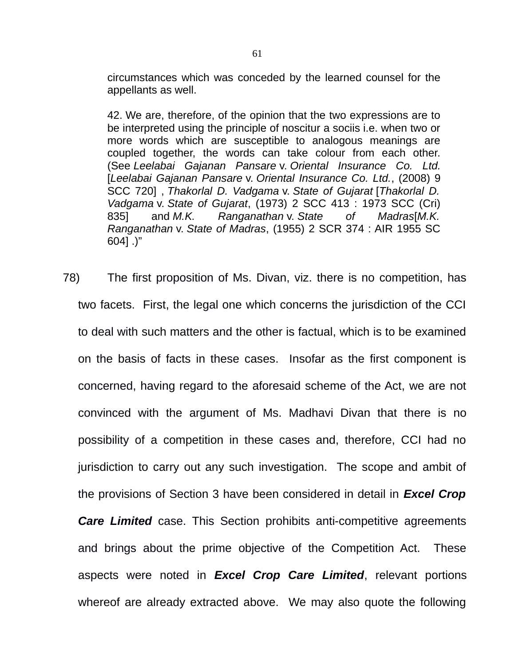circumstances which was conceded by the learned counsel for the appellants as well.

42. We are, therefore, of the opinion that the two expressions are to be interpreted using the principle of noscitur a sociis i.e. when two or more words which are susceptible to analogous meanings are coupled together, the words can take colour from each other. (See *Leelabai Gajanan Pansare* v. *Oriental Insurance Co. Ltd.* [*Leelabai Gajanan Pansare* v. *Oriental Insurance Co. Ltd.*, (2008) 9 SCC 720] , *Thakorlal D. Vadgama* v. *State of Gujarat* [*Thakorlal D. Vadgama* v. *State of Gujarat*, (1973) 2 SCC 413 : 1973 SCC (Cri) 835] and *M.K. Ranganathan* v. *State of Madras*[*M.K. Ranganathan* v. *State of Madras*, (1955) 2 SCR 374 : AIR 1955 SC 604] .)"

78) The first proposition of Ms. Divan, viz. there is no competition, has two facets. First, the legal one which concerns the jurisdiction of the CCI to deal with such matters and the other is factual, which is to be examined on the basis of facts in these cases. Insofar as the first component is concerned, having regard to the aforesaid scheme of the Act, we are not convinced with the argument of Ms. Madhavi Divan that there is no possibility of a competition in these cases and, therefore, CCI had no jurisdiction to carry out any such investigation. The scope and ambit of the provisions of Section 3 have been considered in detail in *Excel Crop Care Limited* case. This Section prohibits anti-competitive agreements and brings about the prime objective of the Competition Act. These aspects were noted in *Excel Crop Care Limited*, relevant portions whereof are already extracted above. We may also quote the following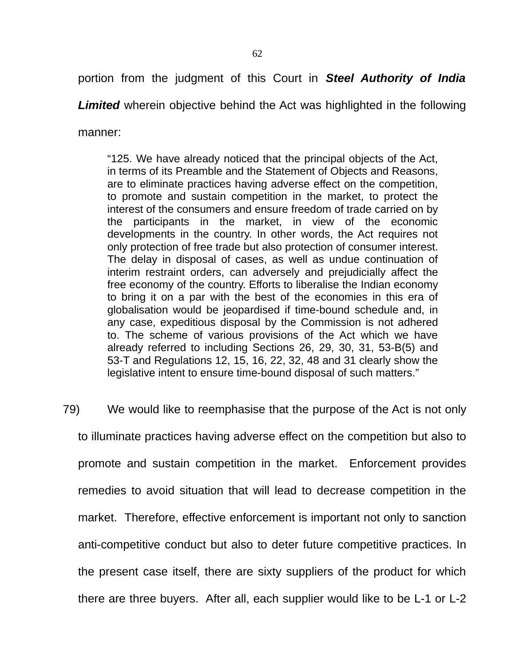portion from the judgment of this Court in *Steel Authority of India*

*Limited* wherein objective behind the Act was highlighted in the following

manner:

"125. We have already noticed that the principal objects of the Act, in terms of its Preamble and the Statement of Objects and Reasons, are to eliminate practices having adverse effect on the competition, to promote and sustain competition in the market, to protect the interest of the consumers and ensure freedom of trade carried on by the participants in the market, in view of the economic developments in the country. In other words, the Act requires not only protection of free trade but also protection of consumer interest. The delay in disposal of cases, as well as undue continuation of interim restraint orders, can adversely and prejudicially affect the free economy of the country. Efforts to liberalise the Indian economy to bring it on a par with the best of the economies in this era of globalisation would be jeopardised if time-bound schedule and, in any case, expeditious disposal by the Commission is not adhered to. The scheme of various provisions of the Act which we have already referred to including Sections 26, 29, 30, 31, 53-B(5) and 53-T and Regulations 12, 15, 16, 22, 32, 48 and 31 clearly show the legislative intent to ensure time-bound disposal of such matters."

79) We would like to reemphasise that the purpose of the Act is not only to illuminate practices having adverse effect on the competition but also to promote and sustain competition in the market. Enforcement provides remedies to avoid situation that will lead to decrease competition in the market. Therefore, effective enforcement is important not only to sanction anti-competitive conduct but also to deter future competitive practices. In the present case itself, there are sixty suppliers of the product for which there are three buyers. After all, each supplier would like to be L-1 or L-2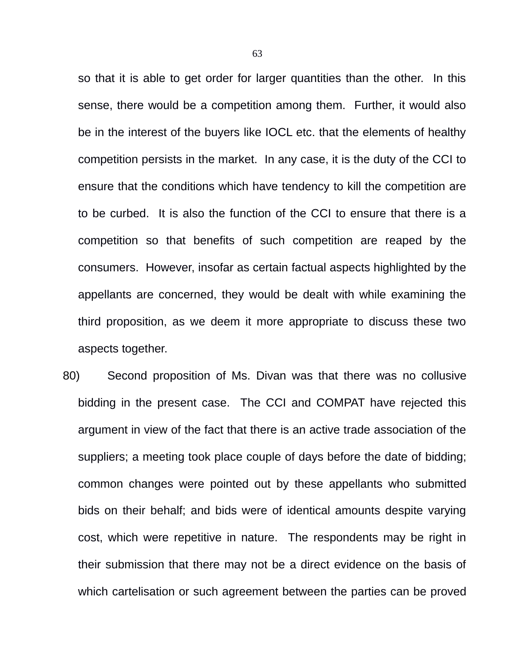so that it is able to get order for larger quantities than the other. In this sense, there would be a competition among them. Further, it would also be in the interest of the buyers like IOCL etc. that the elements of healthy competition persists in the market. In any case, it is the duty of the CCI to ensure that the conditions which have tendency to kill the competition are to be curbed. It is also the function of the CCI to ensure that there is a competition so that benefits of such competition are reaped by the consumers. However, insofar as certain factual aspects highlighted by the appellants are concerned, they would be dealt with while examining the third proposition, as we deem it more appropriate to discuss these two aspects together.

80) Second proposition of Ms. Divan was that there was no collusive bidding in the present case. The CCI and COMPAT have rejected this argument in view of the fact that there is an active trade association of the suppliers; a meeting took place couple of days before the date of bidding; common changes were pointed out by these appellants who submitted bids on their behalf; and bids were of identical amounts despite varying cost, which were repetitive in nature. The respondents may be right in their submission that there may not be a direct evidence on the basis of which cartelisation or such agreement between the parties can be proved

63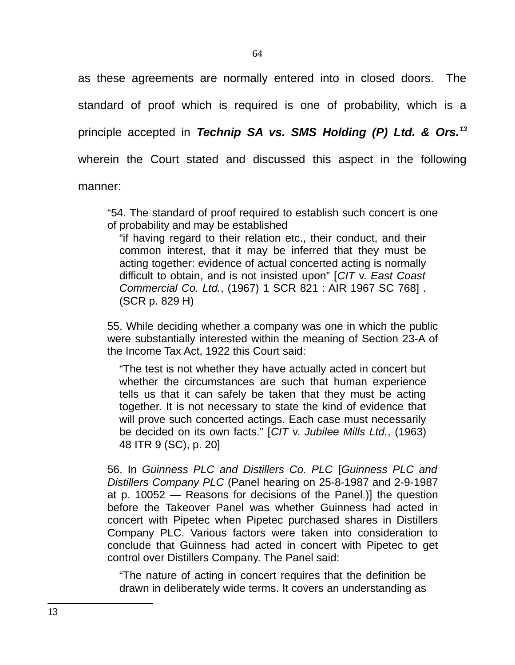as these agreements are normally entered into in closed doors. The standard of proof which is required is one of probability, which is a principle accepted in *Technip SA vs. SMS Holding (P) Ltd. & Ors.[13](#page-63-0)* wherein the Court stated and discussed this aspect in the following manner:

"54. The standard of proof required to establish such concert is one of probability and may be established

"if having regard to their relation etc., their conduct, and their common interest, that it may be inferred that they must be acting together: evidence of actual concerted acting is normally difficult to obtain, and is not insisted upon" [*CIT* v. *East Coast Commercial Co. Ltd.*, (1967) 1 SCR 821 : AIR 1967 SC 768] . (SCR p. 829 H)

55. While deciding whether a company was one in which the public were substantially interested within the meaning of Section 23-A of the Income Tax Act, 1922 this Court said:

"The test is not whether they have actually acted in concert but whether the circumstances are such that human experience tells us that it can safely be taken that they must be acting together. It is not necessary to state the kind of evidence that will prove such concerted actings. Each case must necessarily be decided on its own facts." [*CIT* v. *Jubilee Mills Ltd.*, (1963) 48 ITR 9 (SC), p. 20]

56. In *Guinness PLC and Distillers Co. PLC* [*Guinness PLC and Distillers Company PLC* (Panel hearing on 25-8-1987 and 2-9-1987 at p. 10052 — Reasons for decisions of the Panel.)] the question before the Takeover Panel was whether Guinness had acted in concert with Pipetec when Pipetec purchased shares in Distillers Company PLC. Various factors were taken into consideration to conclude that Guinness had acted in concert with Pipetec to get control over Distillers Company. The Panel said:

<span id="page-63-0"></span>"The nature of acting in concert requires that the definition be drawn in deliberately wide terms. It covers an understanding as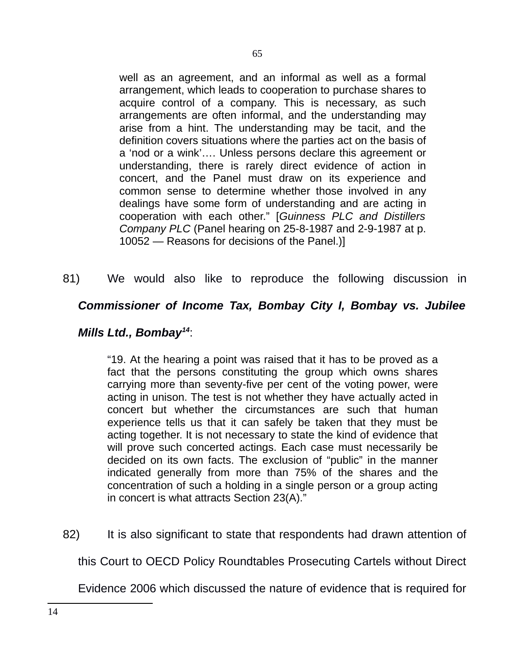well as an agreement, and an informal as well as a formal arrangement, which leads to cooperation to purchase shares to acquire control of a company. This is necessary, as such arrangements are often informal, and the understanding may arise from a hint. The understanding may be tacit, and the definition covers situations where the parties act on the basis of a 'nod or a wink'…. Unless persons declare this agreement or understanding, there is rarely direct evidence of action in concert, and the Panel must draw on its experience and common sense to determine whether those involved in any dealings have some form of understanding and are acting in cooperation with each other." [*Guinness PLC and Distillers Company PLC* (Panel hearing on 25-8-1987 and 2-9-1987 at p. 10052 — Reasons for decisions of the Panel.)]

81) We would also like to reproduce the following discussion in

*Commissioner of Income Tax, Bombay City I, Bombay vs. Jubilee*

## *Mills Ltd., Bombay[14](#page-64-0)*:

"19. At the hearing a point was raised that it has to be proved as a fact that the persons constituting the group which owns shares carrying more than seventy-five per cent of the voting power, were acting in unison. The test is not whether they have actually acted in concert but whether the circumstances are such that human experience tells us that it can safely be taken that they must be acting together. It is not necessary to state the kind of evidence that will prove such concerted actings. Each case must necessarily be decided on its own facts. The exclusion of "public" in the manner indicated generally from more than 75% of the shares and the concentration of such a holding in a single person or a group acting in concert is what attracts Section 23(A)."

82) It is also significant to state that respondents had drawn attention of

this Court to OECD Policy Roundtables Prosecuting Cartels without Direct

<span id="page-64-0"></span>Evidence 2006 which discussed the nature of evidence that is required for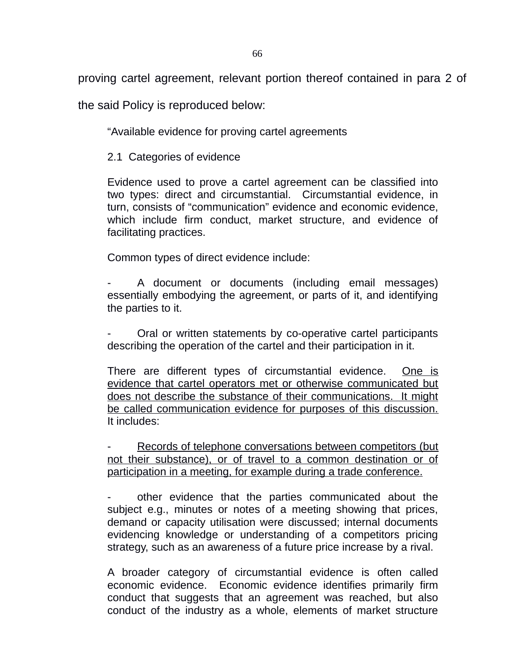proving cartel agreement, relevant portion thereof contained in para 2 of

the said Policy is reproduced below:

"Available evidence for proving cartel agreements

2.1 Categories of evidence

Evidence used to prove a cartel agreement can be classified into two types: direct and circumstantial. Circumstantial evidence, in turn, consists of "communication" evidence and economic evidence, which include firm conduct, market structure, and evidence of facilitating practices.

Common types of direct evidence include:

A document or documents (including email messages) essentially embodying the agreement, or parts of it, and identifying the parties to it.

- Oral or written statements by co-operative cartel participants describing the operation of the cartel and their participation in it.

There are different types of circumstantial evidence. One is evidence that cartel operators met or otherwise communicated but does not describe the substance of their communications. It might be called communication evidence for purposes of this discussion. It includes:

Records of telephone conversations between competitors (but) not their substance), or of travel to a common destination or of participation in a meeting, for example during a trade conference.

other evidence that the parties communicated about the subject e.g., minutes or notes of a meeting showing that prices, demand or capacity utilisation were discussed; internal documents evidencing knowledge or understanding of a competitors pricing strategy, such as an awareness of a future price increase by a rival.

A broader category of circumstantial evidence is often called economic evidence. Economic evidence identifies primarily firm conduct that suggests that an agreement was reached, but also conduct of the industry as a whole, elements of market structure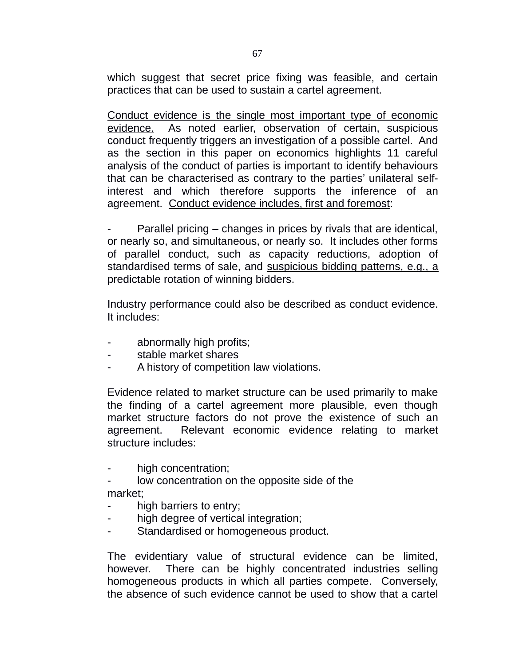which suggest that secret price fixing was feasible, and certain practices that can be used to sustain a cartel agreement.

Conduct evidence is the single most important type of economic evidence. As noted earlier, observation of certain, suspicious conduct frequently triggers an investigation of a possible cartel. And as the section in this paper on economics highlights 11 careful analysis of the conduct of parties is important to identify behaviours that can be characterised as contrary to the parties' unilateral selfinterest and which therefore supports the inference of an agreement. Conduct evidence includes, first and foremost:

Parallel pricing – changes in prices by rivals that are identical, or nearly so, and simultaneous, or nearly so. It includes other forms of parallel conduct, such as capacity reductions, adoption of standardised terms of sale, and suspicious bidding patterns, e.g., a predictable rotation of winning bidders.

Industry performance could also be described as conduct evidence. It includes:

- abnormally high profits;
- stable market shares
- A history of competition law violations.

Evidence related to market structure can be used primarily to make the finding of a cartel agreement more plausible, even though market structure factors do not prove the existence of such an agreement. Relevant economic evidence relating to market structure includes:

high concentration;

low concentration on the opposite side of the market;

- high barriers to entry;
- high degree of vertical integration;
- Standardised or homogeneous product.

The evidentiary value of structural evidence can be limited, however. There can be highly concentrated industries selling homogeneous products in which all parties compete. Conversely, the absence of such evidence cannot be used to show that a cartel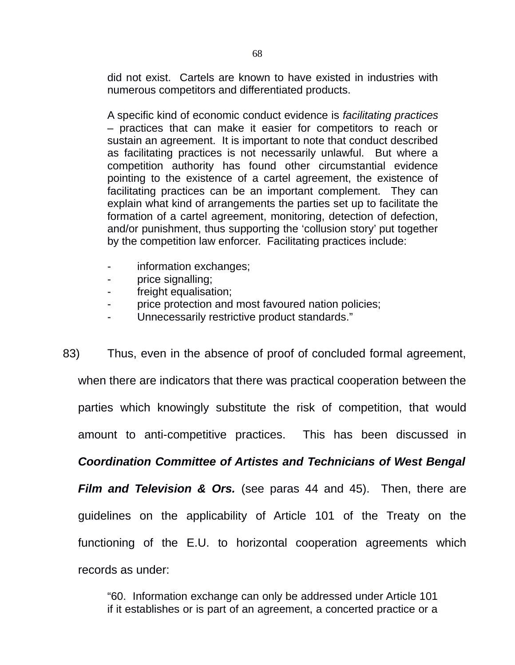did not exist. Cartels are known to have existed in industries with numerous competitors and differentiated products.

A specific kind of economic conduct evidence is *facilitating practices* – practices that can make it easier for competitors to reach or sustain an agreement. It is important to note that conduct described as facilitating practices is not necessarily unlawful. But where a competition authority has found other circumstantial evidence pointing to the existence of a cartel agreement, the existence of facilitating practices can be an important complement. They can explain what kind of arrangements the parties set up to facilitate the formation of a cartel agreement, monitoring, detection of defection, and/or punishment, thus supporting the 'collusion story' put together by the competition law enforcer. Facilitating practices include:

- information exchanges;
- price signalling;
- freight equalisation;
- price protection and most favoured nation policies;
- Unnecessarily restrictive product standards."

83) Thus, even in the absence of proof of concluded formal agreement, when there are indicators that there was practical cooperation between the parties which knowingly substitute the risk of competition, that would amount to anti-competitive practices. This has been discussed in *Coordination Committee of Artistes and Technicians of West Bengal Film and Television & Ors.* (see paras 44 and 45). Then, there are guidelines on the applicability of Article 101 of the Treaty on the functioning of the E.U. to horizontal cooperation agreements which records as under:

> "60. Information exchange can only be addressed under Article 101 if it establishes or is part of an agreement, a concerted practice or a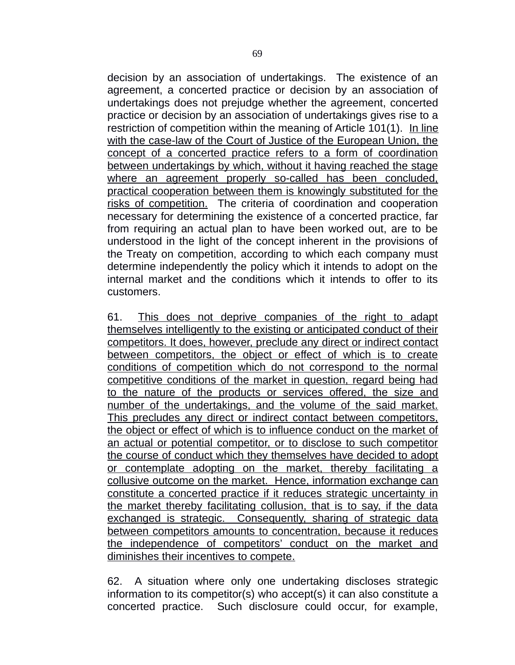decision by an association of undertakings. The existence of an agreement, a concerted practice or decision by an association of undertakings does not prejudge whether the agreement, concerted practice or decision by an association of undertakings gives rise to a restriction of competition within the meaning of Article 101(1). In line with the case-law of the Court of Justice of the European Union, the concept of a concerted practice refers to a form of coordination between undertakings by which, without it having reached the stage where an agreement properly so-called has been concluded, practical cooperation between them is knowingly substituted for the risks of competition. The criteria of coordination and cooperation necessary for determining the existence of a concerted practice, far from requiring an actual plan to have been worked out, are to be understood in the light of the concept inherent in the provisions of the Treaty on competition, according to which each company must determine independently the policy which it intends to adopt on the internal market and the conditions which it intends to offer to its customers.

61. This does not deprive companies of the right to adapt themselves intelligently to the existing or anticipated conduct of their competitors. It does, however, preclude any direct or indirect contact between competitors, the object or effect of which is to create conditions of competition which do not correspond to the normal competitive conditions of the market in question, regard being had to the nature of the products or services offered, the size and number of the undertakings, and the volume of the said market. This precludes any direct or indirect contact between competitors, the object or effect of which is to influence conduct on the market of an actual or potential competitor, or to disclose to such competitor the course of conduct which they themselves have decided to adopt or contemplate adopting on the market, thereby facilitating a collusive outcome on the market. Hence, information exchange can constitute a concerted practice if it reduces strategic uncertainty in the market thereby facilitating collusion, that is to say, if the data exchanged is strategic. Consequently, sharing of strategic data between competitors amounts to concentration, because it reduces the independence of competitors' conduct on the market and diminishes their incentives to compete.

62. A situation where only one undertaking discloses strategic information to its competitor(s) who accept(s) it can also constitute a concerted practice. Such disclosure could occur, for example,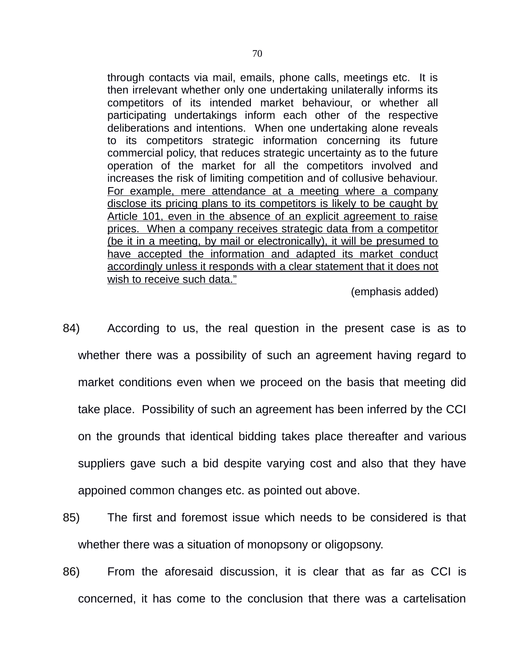through contacts via mail, emails, phone calls, meetings etc. It is then irrelevant whether only one undertaking unilaterally informs its competitors of its intended market behaviour, or whether all participating undertakings inform each other of the respective deliberations and intentions. When one undertaking alone reveals to its competitors strategic information concerning its future commercial policy, that reduces strategic uncertainty as to the future operation of the market for all the competitors involved and increases the risk of limiting competition and of collusive behaviour. For example, mere attendance at a meeting where a company disclose its pricing plans to its competitors is likely to be caught by Article 101, even in the absence of an explicit agreement to raise prices. When a company receives strategic data from a competitor (be it in a meeting, by mail or electronically), it will be presumed to have accepted the information and adapted its market conduct accordingly unless it responds with a clear statement that it does not wish to receive such data."

(emphasis added)

- 84) According to us, the real question in the present case is as to whether there was a possibility of such an agreement having regard to market conditions even when we proceed on the basis that meeting did take place. Possibility of such an agreement has been inferred by the CCI on the grounds that identical bidding takes place thereafter and various suppliers gave such a bid despite varying cost and also that they have appoined common changes etc. as pointed out above.
- 85) The first and foremost issue which needs to be considered is that whether there was a situation of monopsony or oligopsony.
- 86) From the aforesaid discussion, it is clear that as far as CCI is concerned, it has come to the conclusion that there was a cartelisation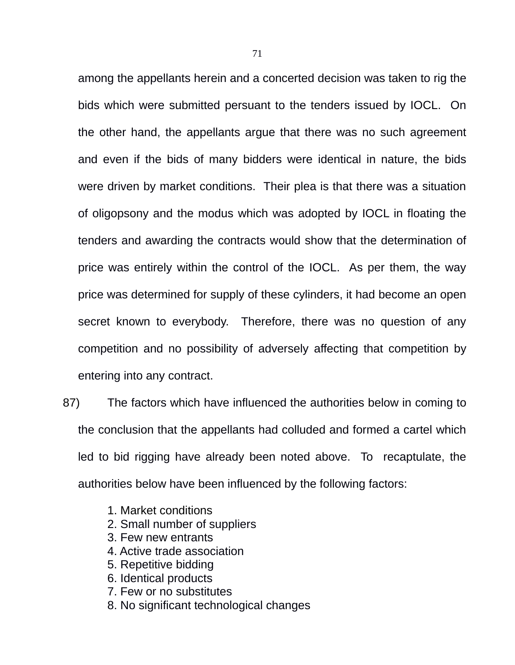among the appellants herein and a concerted decision was taken to rig the bids which were submitted persuant to the tenders issued by IOCL. On the other hand, the appellants argue that there was no such agreement and even if the bids of many bidders were identical in nature, the bids were driven by market conditions. Their plea is that there was a situation of oligopsony and the modus which was adopted by IOCL in floating the tenders and awarding the contracts would show that the determination of price was entirely within the control of the IOCL. As per them, the way price was determined for supply of these cylinders, it had become an open secret known to everybody. Therefore, there was no question of any competition and no possibility of adversely affecting that competition by entering into any contract.

- 87) The factors which have influenced the authorities below in coming to the conclusion that the appellants had colluded and formed a cartel which led to bid rigging have already been noted above. To recaptulate, the authorities below have been influenced by the following factors:
	- 1. Market conditions
	- 2. Small number of suppliers
	- 3. Few new entrants
	- 4. Active trade association
	- 5. Repetitive bidding
	- 6. Identical products
	- 7. Few or no substitutes
	- 8. No significant technological changes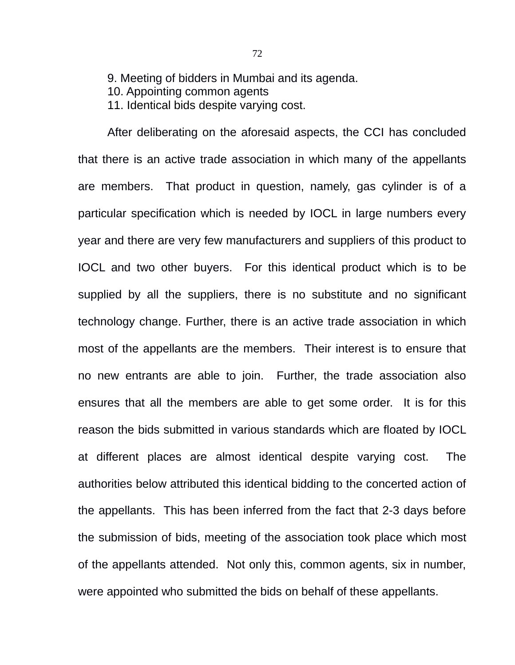9. Meeting of bidders in Mumbai and its agenda.

10. Appointing common agents

11. Identical bids despite varying cost.

After deliberating on the aforesaid aspects, the CCI has concluded that there is an active trade association in which many of the appellants are members. That product in question, namely, gas cylinder is of a particular specification which is needed by IOCL in large numbers every year and there are very few manufacturers and suppliers of this product to IOCL and two other buyers. For this identical product which is to be supplied by all the suppliers, there is no substitute and no significant technology change. Further, there is an active trade association in which most of the appellants are the members. Their interest is to ensure that no new entrants are able to join. Further, the trade association also ensures that all the members are able to get some order. It is for this reason the bids submitted in various standards which are floated by IOCL at different places are almost identical despite varying cost. The authorities below attributed this identical bidding to the concerted action of the appellants. This has been inferred from the fact that 2-3 days before the submission of bids, meeting of the association took place which most of the appellants attended. Not only this, common agents, six in number, were appointed who submitted the bids on behalf of these appellants.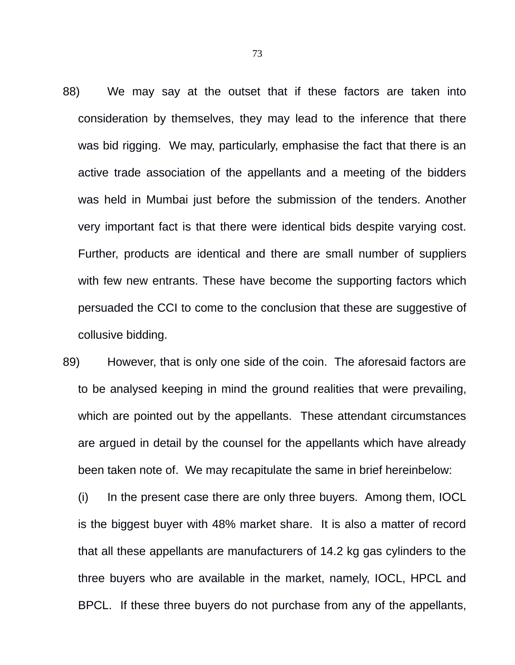88) We may say at the outset that if these factors are taken into consideration by themselves, they may lead to the inference that there was bid rigging. We may, particularly, emphasise the fact that there is an active trade association of the appellants and a meeting of the bidders was held in Mumbai just before the submission of the tenders. Another very important fact is that there were identical bids despite varying cost. Further, products are identical and there are small number of suppliers with few new entrants. These have become the supporting factors which persuaded the CCI to come to the conclusion that these are suggestive of collusive bidding.

89) However, that is only one side of the coin. The aforesaid factors are to be analysed keeping in mind the ground realities that were prevailing, which are pointed out by the appellants. These attendant circumstances are argued in detail by the counsel for the appellants which have already been taken note of. We may recapitulate the same in brief hereinbelow:

(i) In the present case there are only three buyers. Among them, IOCL is the biggest buyer with 48% market share. It is also a matter of record that all these appellants are manufacturers of 14.2 kg gas cylinders to the three buyers who are available in the market, namely, IOCL, HPCL and BPCL. If these three buyers do not purchase from any of the appellants,

73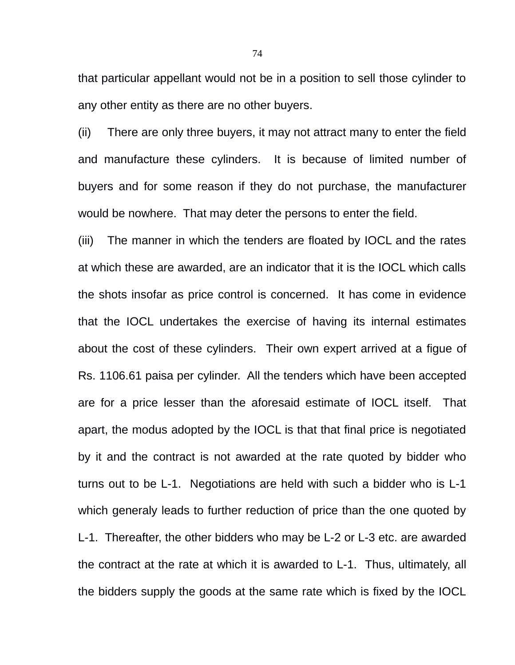that particular appellant would not be in a position to sell those cylinder to any other entity as there are no other buyers.

(ii) There are only three buyers, it may not attract many to enter the field and manufacture these cylinders. It is because of limited number of buyers and for some reason if they do not purchase, the manufacturer would be nowhere. That may deter the persons to enter the field.

(iii) The manner in which the tenders are floated by IOCL and the rates at which these are awarded, are an indicator that it is the IOCL which calls the shots insofar as price control is concerned. It has come in evidence that the IOCL undertakes the exercise of having its internal estimates about the cost of these cylinders. Their own expert arrived at a figue of Rs. 1106.61 paisa per cylinder. All the tenders which have been accepted are for a price lesser than the aforesaid estimate of IOCL itself. That apart, the modus adopted by the IOCL is that that final price is negotiated by it and the contract is not awarded at the rate quoted by bidder who turns out to be L-1. Negotiations are held with such a bidder who is L-1 which generaly leads to further reduction of price than the one quoted by L-1. Thereafter, the other bidders who may be L-2 or L-3 etc. are awarded the contract at the rate at which it is awarded to L-1. Thus, ultimately, all the bidders supply the goods at the same rate which is fixed by the IOCL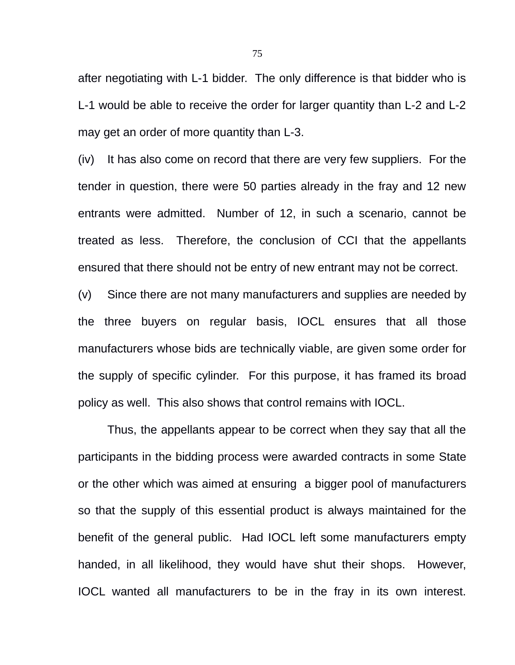after negotiating with L-1 bidder. The only difference is that bidder who is L-1 would be able to receive the order for larger quantity than L-2 and L-2 may get an order of more quantity than L-3.

(iv) It has also come on record that there are very few suppliers. For the tender in question, there were 50 parties already in the fray and 12 new entrants were admitted. Number of 12, in such a scenario, cannot be treated as less. Therefore, the conclusion of CCI that the appellants ensured that there should not be entry of new entrant may not be correct.

(v) Since there are not many manufacturers and supplies are needed by the three buyers on regular basis, IOCL ensures that all those manufacturers whose bids are technically viable, are given some order for the supply of specific cylinder. For this purpose, it has framed its broad policy as well. This also shows that control remains with IOCL.

Thus, the appellants appear to be correct when they say that all the participants in the bidding process were awarded contracts in some State or the other which was aimed at ensuring a bigger pool of manufacturers so that the supply of this essential product is always maintained for the benefit of the general public. Had IOCL left some manufacturers empty handed, in all likelihood, they would have shut their shops. However, IOCL wanted all manufacturers to be in the fray in its own interest.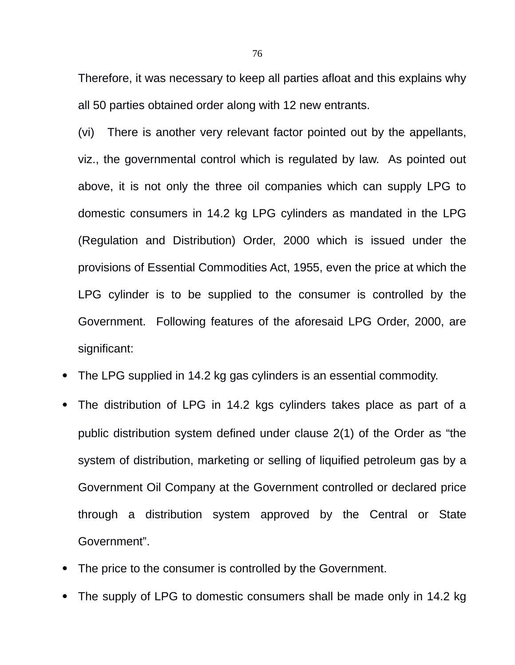Therefore, it was necessary to keep all parties afloat and this explains why all 50 parties obtained order along with 12 new entrants.

(vi) There is another very relevant factor pointed out by the appellants, viz., the governmental control which is regulated by law. As pointed out above, it is not only the three oil companies which can supply LPG to domestic consumers in 14.2 kg LPG cylinders as mandated in the LPG (Regulation and Distribution) Order, 2000 which is issued under the provisions of Essential Commodities Act, 1955, even the price at which the LPG cylinder is to be supplied to the consumer is controlled by the Government. Following features of the aforesaid LPG Order, 2000, are significant:

- The LPG supplied in 14.2 kg gas cylinders is an essential commodity.
- The distribution of LPG in 14.2 kgs cylinders takes place as part of a public distribution system defined under clause 2(1) of the Order as "the system of distribution, marketing or selling of liquified petroleum gas by a Government Oil Company at the Government controlled or declared price through a distribution system approved by the Central or State Government".
- The price to the consumer is controlled by the Government.
- The supply of LPG to domestic consumers shall be made only in 14.2 kg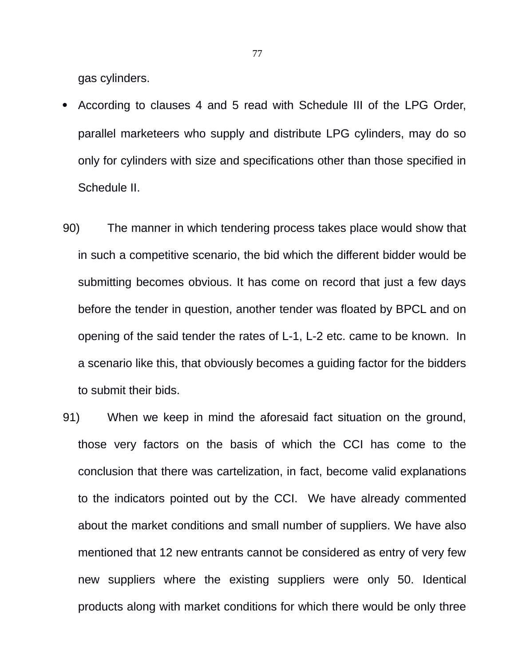gas cylinders.

- According to clauses 4 and 5 read with Schedule III of the LPG Order, parallel marketeers who supply and distribute LPG cylinders, may do so only for cylinders with size and specifications other than those specified in Schedule II.
- 90) The manner in which tendering process takes place would show that in such a competitive scenario, the bid which the different bidder would be submitting becomes obvious. It has come on record that just a few days before the tender in question, another tender was floated by BPCL and on opening of the said tender the rates of L-1, L-2 etc. came to be known. In a scenario like this, that obviously becomes a guiding factor for the bidders to submit their bids.
- 91) When we keep in mind the aforesaid fact situation on the ground, those very factors on the basis of which the CCI has come to the conclusion that there was cartelization, in fact, become valid explanations to the indicators pointed out by the CCI. We have already commented about the market conditions and small number of suppliers. We have also mentioned that 12 new entrants cannot be considered as entry of very few new suppliers where the existing suppliers were only 50. Identical products along with market conditions for which there would be only three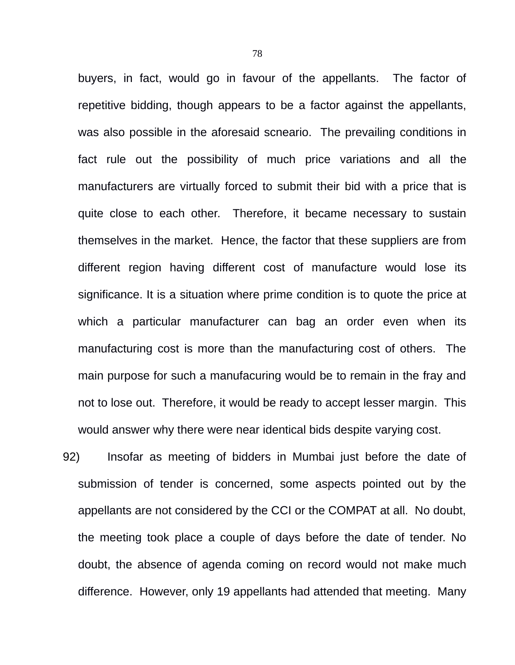buyers, in fact, would go in favour of the appellants. The factor of repetitive bidding, though appears to be a factor against the appellants, was also possible in the aforesaid scneario. The prevailing conditions in fact rule out the possibility of much price variations and all the manufacturers are virtually forced to submit their bid with a price that is quite close to each other. Therefore, it became necessary to sustain themselves in the market. Hence, the factor that these suppliers are from different region having different cost of manufacture would lose its significance. It is a situation where prime condition is to quote the price at which a particular manufacturer can bag an order even when its manufacturing cost is more than the manufacturing cost of others. The main purpose for such a manufacuring would be to remain in the fray and not to lose out. Therefore, it would be ready to accept lesser margin. This would answer why there were near identical bids despite varying cost.

92) Insofar as meeting of bidders in Mumbai just before the date of submission of tender is concerned, some aspects pointed out by the appellants are not considered by the CCI or the COMPAT at all. No doubt, the meeting took place a couple of days before the date of tender. No doubt, the absence of agenda coming on record would not make much difference. However, only 19 appellants had attended that meeting. Many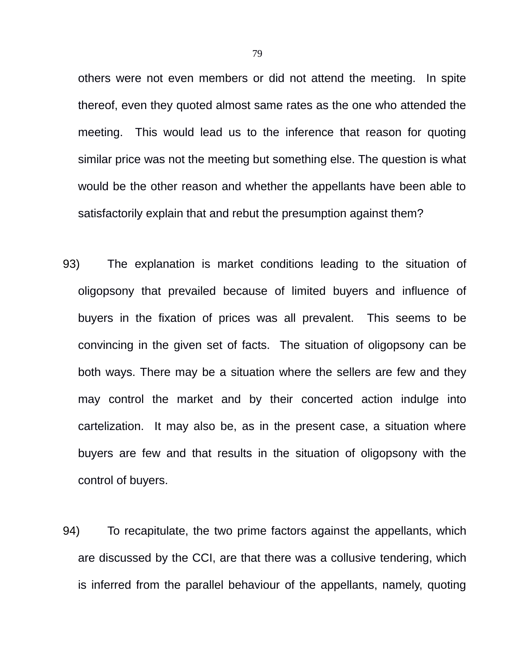others were not even members or did not attend the meeting. In spite thereof, even they quoted almost same rates as the one who attended the meeting. This would lead us to the inference that reason for quoting similar price was not the meeting but something else. The question is what would be the other reason and whether the appellants have been able to satisfactorily explain that and rebut the presumption against them?

- 93) The explanation is market conditions leading to the situation of oligopsony that prevailed because of limited buyers and influence of buyers in the fixation of prices was all prevalent. This seems to be convincing in the given set of facts. The situation of oligopsony can be both ways. There may be a situation where the sellers are few and they may control the market and by their concerted action indulge into cartelization. It may also be, as in the present case, a situation where buyers are few and that results in the situation of oligopsony with the control of buyers.
- 94) To recapitulate, the two prime factors against the appellants, which are discussed by the CCI, are that there was a collusive tendering, which is inferred from the parallel behaviour of the appellants, namely, quoting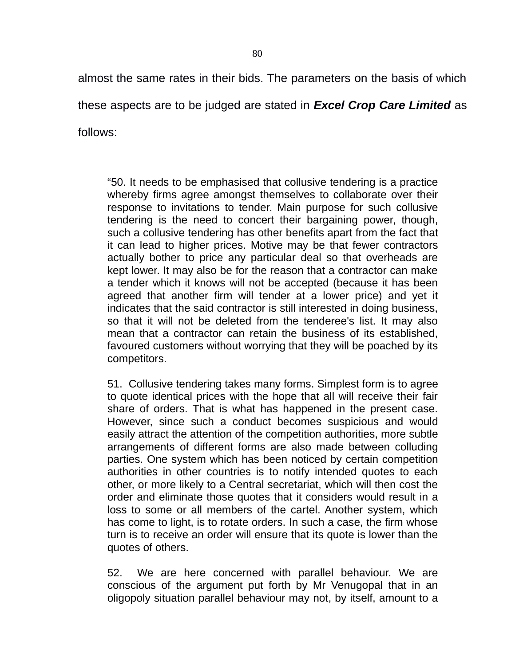almost the same rates in their bids. The parameters on the basis of which

these aspects are to be judged are stated in *Excel Crop Care Limited* as follows:

"50. It needs to be emphasised that collusive tendering is a practice whereby firms agree amongst themselves to collaborate over their response to invitations to tender. Main purpose for such collusive tendering is the need to concert their bargaining power, though, such a collusive tendering has other benefits apart from the fact that it can lead to higher prices. Motive may be that fewer contractors actually bother to price any particular deal so that overheads are kept lower. It may also be for the reason that a contractor can make a tender which it knows will not be accepted (because it has been agreed that another firm will tender at a lower price) and yet it indicates that the said contractor is still interested in doing business, so that it will not be deleted from the tenderee's list. It may also mean that a contractor can retain the business of its established, favoured customers without worrying that they will be poached by its competitors.

51. Collusive tendering takes many forms. Simplest form is to agree to quote identical prices with the hope that all will receive their fair share of orders. That is what has happened in the present case. However, since such a conduct becomes suspicious and would easily attract the attention of the competition authorities, more subtle arrangements of different forms are also made between colluding parties. One system which has been noticed by certain competition authorities in other countries is to notify intended quotes to each other, or more likely to a Central secretariat, which will then cost the order and eliminate those quotes that it considers would result in a loss to some or all members of the cartel. Another system, which has come to light, is to rotate orders. In such a case, the firm whose turn is to receive an order will ensure that its quote is lower than the quotes of others.

52. We are here concerned with parallel behaviour. We are conscious of the argument put forth by Mr Venugopal that in an oligopoly situation parallel behaviour may not, by itself, amount to a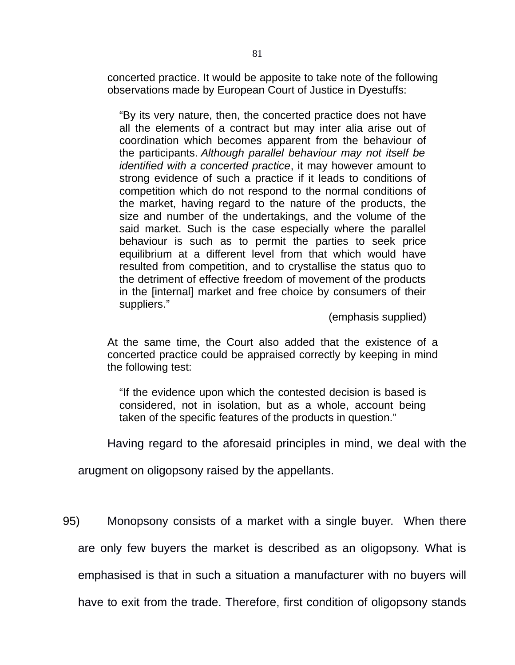concerted practice. It would be apposite to take note of the following observations made by European Court of Justice in Dyestuffs:

"By its very nature, then, the concerted practice does not have all the elements of a contract but may inter alia arise out of coordination which becomes apparent from the behaviour of the participants. *Although parallel behaviour may not itself be identified with a concerted practice*, it may however amount to strong evidence of such a practice if it leads to conditions of competition which do not respond to the normal conditions of the market, having regard to the nature of the products, the size and number of the undertakings, and the volume of the said market. Such is the case especially where the parallel behaviour is such as to permit the parties to seek price equilibrium at a different level from that which would have resulted from competition, and to crystallise the status quo to the detriment of effective freedom of movement of the products in the [internal] market and free choice by consumers of their suppliers."

(emphasis supplied)

At the same time, the Court also added that the existence of a concerted practice could be appraised correctly by keeping in mind the following test:

"If the evidence upon which the contested decision is based is considered, not in isolation, but as a whole, account being taken of the specific features of the products in question."

Having regard to the aforesaid principles in mind, we deal with the

arugment on oligopsony raised by the appellants.

95) Monopsony consists of a market with a single buyer. When there are only few buyers the market is described as an oligopsony. What is emphasised is that in such a situation a manufacturer with no buyers will have to exit from the trade. Therefore, first condition of oligopsony stands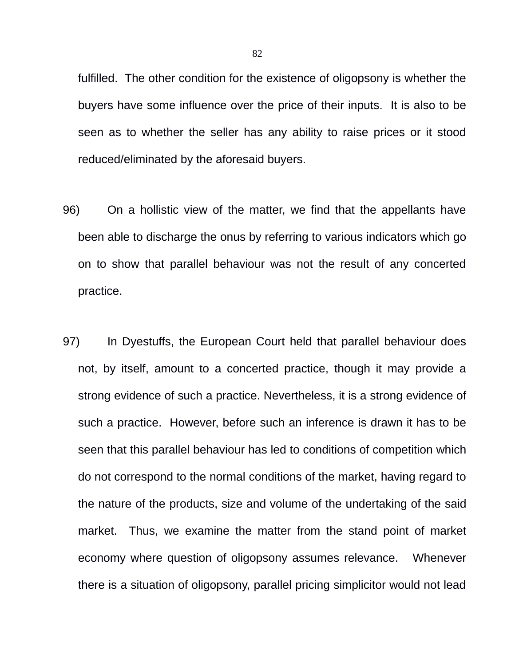fulfilled. The other condition for the existence of oligopsony is whether the buyers have some influence over the price of their inputs. It is also to be seen as to whether the seller has any ability to raise prices or it stood reduced/eliminated by the aforesaid buyers.

- 96) On a hollistic view of the matter, we find that the appellants have been able to discharge the onus by referring to various indicators which go on to show that parallel behaviour was not the result of any concerted practice.
- 97) In Dyestuffs, the European Court held that parallel behaviour does not, by itself, amount to a concerted practice, though it may provide a strong evidence of such a practice. Nevertheless, it is a strong evidence of such a practice. However, before such an inference is drawn it has to be seen that this parallel behaviour has led to conditions of competition which do not correspond to the normal conditions of the market, having regard to the nature of the products, size and volume of the undertaking of the said market. Thus, we examine the matter from the stand point of market economy where question of oligopsony assumes relevance. Whenever there is a situation of oligopsony, parallel pricing simplicitor would not lead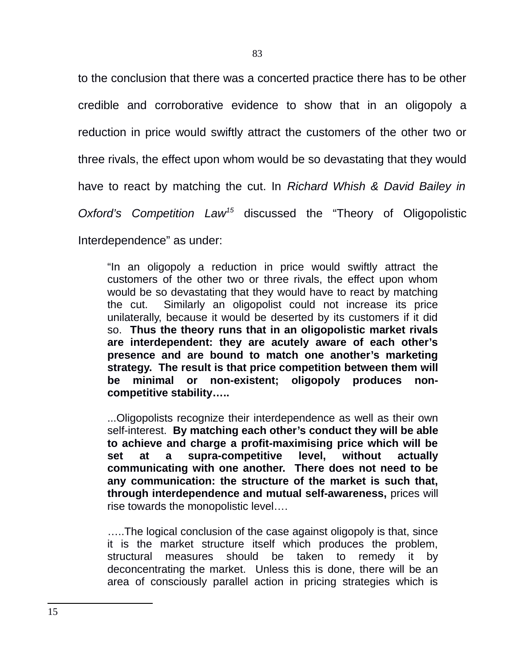to the conclusion that there was a concerted practice there has to be other credible and corroborative evidence to show that in an oligopoly a reduction in price would swiftly attract the customers of the other two or three rivals, the effect upon whom would be so devastating that they would have to react by matching the cut. In *Richard Whish & David Bailey in Oxford's Competition Law[15](#page-82-0)* discussed the "Theory of Oligopolistic Interdependence" as under:

"In an oligopoly a reduction in price would swiftly attract the customers of the other two or three rivals, the effect upon whom would be so devastating that they would have to react by matching the cut. Similarly an oligopolist could not increase its price unilaterally, because it would be deserted by its customers if it did so. **Thus the theory runs that in an oligopolistic market rivals are interdependent: they are acutely aware of each other's presence and are bound to match one another's marketing strategy. The result is that price competition between them will be minimal or non-existent; oligopoly produces noncompetitive stability…..**

...Oligopolists recognize their interdependence as well as their own self-interest. **By matching each other's conduct they will be able to achieve and charge a profit-maximising price which will be set at a supra-competitive level, without actually communicating with one another. There does not need to be any communication: the structure of the market is such that, through interdependence and mutual self-awareness,** prices will rise towards the monopolistic level….

<span id="page-82-0"></span>…..The logical conclusion of the case against oligopoly is that, since it is the market structure itself which produces the problem, structural measures should be taken to remedy it by deconcentrating the market. Unless this is done, there will be an area of consciously parallel action in pricing strategies which is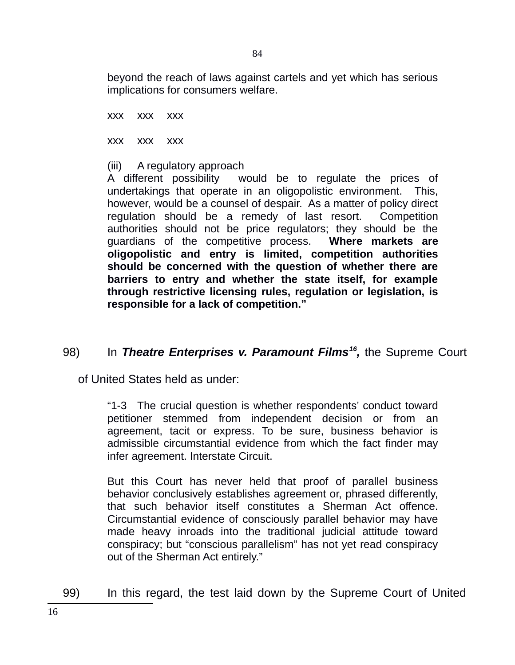beyond the reach of laws against cartels and yet which has serious implications for consumers welfare.

xxx xxx xxx

xxx xxx xxx

(iii) A regulatory approach

A different possibility would be to regulate the prices of undertakings that operate in an oligopolistic environment. This, however, would be a counsel of despair. As a matter of policy direct regulation should be a remedy of last resort. Competition authorities should not be price regulators; they should be the guardians of the competitive process. **Where markets are oligopolistic and entry is limited, competition authorities should be concerned with the question of whether there are barriers to entry and whether the state itself, for example through restrictive licensing rules, regulation or legislation, is responsible for a lack of competition."**

# 98) In Theatre Enterprises v. Paramount Films<sup>[16](#page-83-0)</sup>, the Supreme Court

of United States held as under:

"1-3 The crucial question is whether respondents' conduct toward petitioner stemmed from independent decision or from an agreement, tacit or express. To be sure, business behavior is admissible circumstantial evidence from which the fact finder may infer agreement. Interstate Circuit.

But this Court has never held that proof of parallel business behavior conclusively establishes agreement or, phrased differently, that such behavior itself constitutes a Sherman Act offence. Circumstantial evidence of consciously parallel behavior may have made heavy inroads into the traditional judicial attitude toward conspiracy; but "conscious parallelism" has not yet read conspiracy out of the Sherman Act entirely."

<span id="page-83-0"></span>99) In this regard, the test laid down by the Supreme Court of United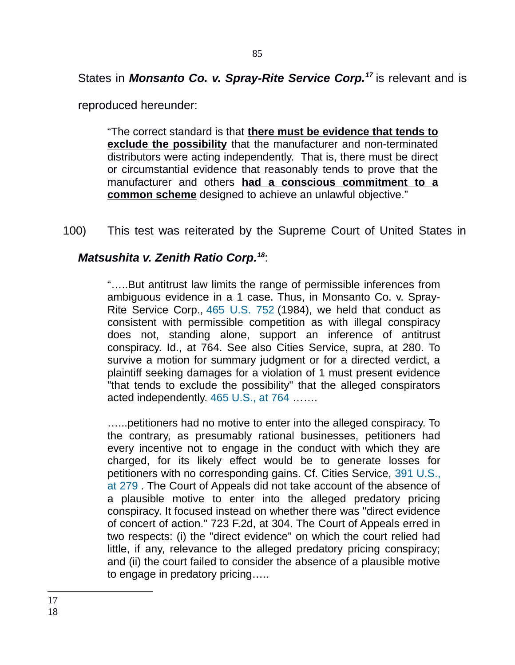States in *Monsanto Co. v. Spray-Rite Service Corp.[17](#page-84-0)* is relevant and is

reproduced hereunder:

"The correct standard is that **there must be evidence that tends to exclude the possibility** that the manufacturer and non-terminated distributors were acting independently. That is, there must be direct or circumstantial evidence that reasonably tends to prove that the manufacturer and others **had a conscious commitment to a common scheme** designed to achieve an unlawful objective."

# 100) This test was reiterated by the Supreme Court of United States in

# *Matsushita v. Zenith Ratio Corp.[18](#page-84-1)*:

"…..But antitrust law limits the range of permissible inferences from ambiguous evidence in a 1 case. Thus, in Monsanto Co. v. Spray-Rite Service Corp., [465 U.S. 752](https://caselaw.findlaw.com/us-supreme-court/465/752.html) (1984), we held that conduct as consistent with permissible competition as with illegal conspiracy does not, standing alone, support an inference of antitrust conspiracy. Id., at 764. See also Cities Service, supra, at 280. To survive a motion for summary judgment or for a directed verdict, a plaintiff seeking damages for a violation of 1 must present evidence "that tends to exclude the possibility" that the alleged conspirators acted independently. [465 U.S., at 764](https://caselaw.findlaw.com/us-supreme-court/465/752.html#764) …….

…...petitioners had no motive to enter into the alleged conspiracy. To the contrary, as presumably rational businesses, petitioners had every incentive not to engage in the conduct with which they are charged, for its likely effect would be to generate losses for petitioners with no corresponding gains. Cf. Cities Service, [391 U.S.,](https://caselaw.findlaw.com/us-supreme-court/391/253.html#279) [at 279](https://caselaw.findlaw.com/us-supreme-court/391/253.html#279) . The Court of Appeals did not take account of the absence of a plausible motive to enter into the alleged predatory pricing conspiracy. It focused instead on whether there was "direct evidence of concert of action." 723 F.2d, at 304. The Court of Appeals erred in two respects: (i) the "direct evidence" on which the court relied had little, if any, relevance to the alleged predatory pricing conspiracy; and (ii) the court failed to consider the absence of a plausible motive to engage in predatory pricing…..

<span id="page-84-1"></span><span id="page-84-0"></span>17 18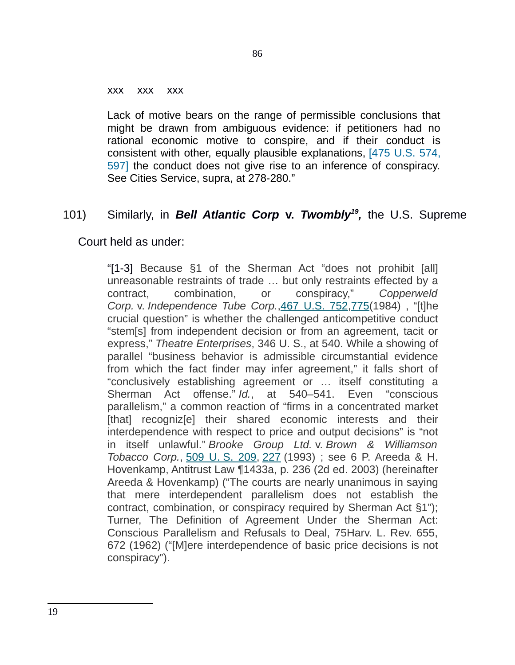#### xxx xxx xxx

Lack of motive bears on the range of permissible conclusions that might be drawn from ambiguous evidence: if petitioners had no rational economic motive to conspire, and if their conduct is consistent with other, equally plausible explanations, [475 U.S. 574, 597] the conduct does not give rise to an inference of conspiracy. See Cities Service, supra, at 278-280."

### 101) Similarly, in **Bell Atlantic Corp v.** *Twombly*<sup>[19](#page-85-0)</sup>, the U.S. Supreme

### Court held as under:

<span id="page-85-0"></span>"[1-3] Because §1 of the Sherman Act "does not prohibit [all] unreasonable restraints of trade … but only restraints effected by a contract, combination, or conspiracy," *Copperweld Corp.* v. *Independence Tube Corp.*[,467 U.S. 752,](https://www.law.cornell.edu/supct-cgi/get-us-cite?467+752)775(1984) , "[t]he crucial question" is whether the challenged anticompetitive conduct "stem[s] from independent decision or from an agreement, tacit or express," *Theatre Enterprises*, 346 U. S., at 540. While a showing of parallel "business behavior is admissible circumstantial evidence from which the fact finder may infer agreement," it falls short of "conclusively establishing agreement or … itself constituting a Sherman Act offense." *Id.*, at 540–541. Even "conscious parallelism," a common reaction of "firms in a concentrated market [that] recogniz[e] their shared economic interests and their interdependence with respect to price and output decisions" is "not in itself unlawful." *Brooke Group Ltd.* v. *Brown & Williamson Tobacco Corp.*, [509 U.](https://www.law.cornell.edu/supct-cgi/get-us-cite?509+209) S. 209, 227 (1993) ; see 6 P. Areeda & H. Hovenkamp, Antitrust Law ¶1433a, p. 236 (2d ed. 2003) (hereinafter Areeda & Hovenkamp) ("The courts are nearly unanimous in saying that mere interdependent parallelism does not establish the contract, combination, or conspiracy required by Sherman Act §1"); Turner, The Definition of Agreement Under the Sherman Act: Conscious Parallelism and Refusals to Deal, 75Harv. L. Rev. 655, 672 (1962) ("[M]ere interdependence of basic price decisions is not conspiracy").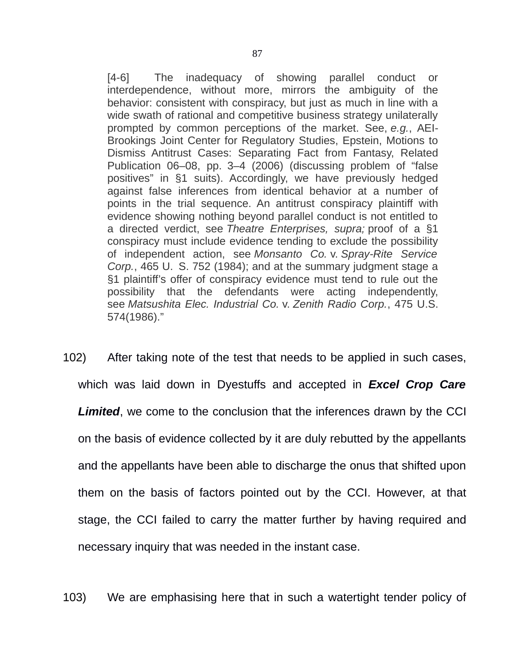[4-6] The inadequacy of showing parallel conduct or interdependence, without more, mirrors the ambiguity of the behavior: consistent with conspiracy, but just as much in line with a wide swath of rational and competitive business strategy unilaterally prompted by common perceptions of the market. See, *e.g.*, AEI-Brookings Joint Center for Regulatory Studies, Epstein, Motions to Dismiss Antitrust Cases: Separating Fact from Fantasy, Related Publication 06–08, pp. 3–4 (2006) (discussing problem of "false positives" in §1 suits). Accordingly, we have previously hedged against false inferences from identical behavior at a number of points in the trial sequence. An antitrust conspiracy plaintiff with evidence showing nothing beyond parallel conduct is not entitled to a directed verdict, see *Theatre Enterprises, supra;* proof of a §1 conspiracy must include evidence tending to exclude the possibility of independent action, see *Monsanto Co.* v. *Spray-Rite Service Corp.*, 465 U. S. 752 (1984); and at the summary judgment stage a §1 plaintiff's offer of conspiracy evidence must tend to rule out the possibility that the defendants were acting independently, see *Matsushita Elec. Industrial Co.* v. *Zenith Radio Corp.*, 475 U.S. 574(1986)."

102) After taking note of the test that needs to be applied in such cases, which was laid down in Dyestuffs and accepted in *Excel Crop Care Limited*, we come to the conclusion that the inferences drawn by the CCI on the basis of evidence collected by it are duly rebutted by the appellants and the appellants have been able to discharge the onus that shifted upon them on the basis of factors pointed out by the CCI. However, at that stage, the CCI failed to carry the matter further by having required and necessary inquiry that was needed in the instant case.

103) We are emphasising here that in such a watertight tender policy of